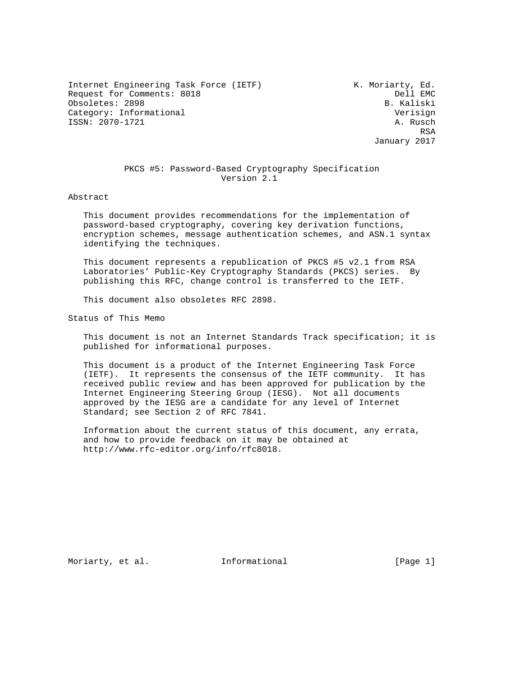Internet Engineering Task Force (IETF) The Music Moriarty, Ed. Request for Comments: 8018 Dell EMC Obsoletes: 2898 Category: Informational verisign ISSN: 2070-1721 A. Rusch

**RSA** January 2017

## PKCS #5: Password-Based Cryptography Specification Version 2.1

Abstract

 This document provides recommendations for the implementation of password-based cryptography, covering key derivation functions, encryption schemes, message authentication schemes, and ASN.1 syntax identifying the techniques.

 This document represents a republication of PKCS #5 v2.1 from RSA Laboratories' Public-Key Cryptography Standards (PKCS) series. By publishing this RFC, change control is transferred to the IETF.

This document also obsoletes RFC 2898.

Status of This Memo

 This document is not an Internet Standards Track specification; it is published for informational purposes.

 This document is a product of the Internet Engineering Task Force (IETF). It represents the consensus of the IETF community. It has received public review and has been approved for publication by the Internet Engineering Steering Group (IESG). Not all documents approved by the IESG are a candidate for any level of Internet Standard; see Section 2 of RFC 7841.

 Information about the current status of this document, any errata, and how to provide feedback on it may be obtained at http://www.rfc-editor.org/info/rfc8018.

Moriarty, et al. 1nformational [Page 1]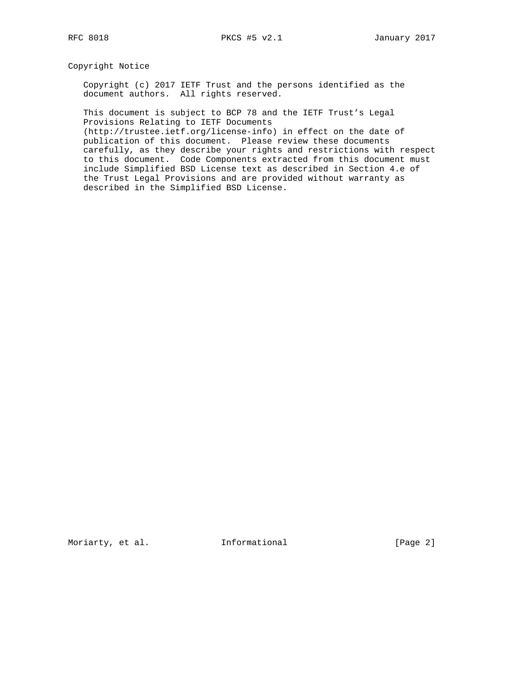Copyright Notice

 Copyright (c) 2017 IETF Trust and the persons identified as the document authors. All rights reserved.

 This document is subject to BCP 78 and the IETF Trust's Legal Provisions Relating to IETF Documents

 (http://trustee.ietf.org/license-info) in effect on the date of publication of this document. Please review these documents carefully, as they describe your rights and restrictions with respect to this document. Code Components extracted from this document must include Simplified BSD License text as described in Section 4.e of the Trust Legal Provisions and are provided without warranty as described in the Simplified BSD License.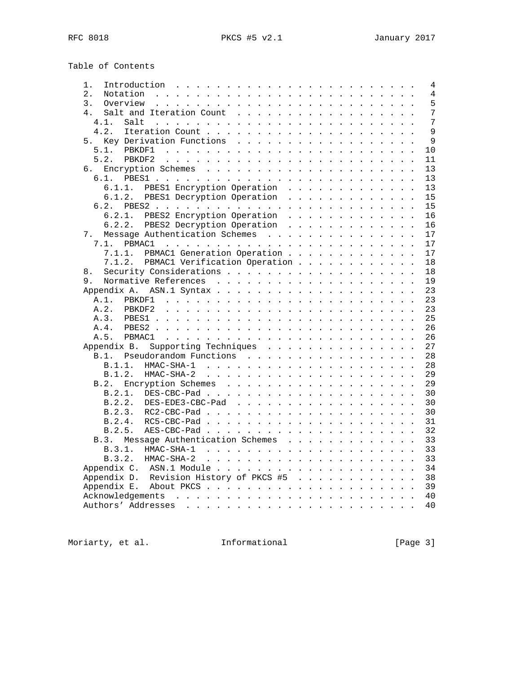|  | Table of Contents |  |
|--|-------------------|--|
|  |                   |  |

| Introduction<br>1.                                                                                                                                                                                                                               |  |  |  |  |  | 4              |
|--------------------------------------------------------------------------------------------------------------------------------------------------------------------------------------------------------------------------------------------------|--|--|--|--|--|----------------|
| $\overline{2}$ .                                                                                                                                                                                                                                 |  |  |  |  |  | $\overline{4}$ |
| 3.                                                                                                                                                                                                                                               |  |  |  |  |  | 5              |
| 4.<br>Salt and Iteration Count                                                                                                                                                                                                                   |  |  |  |  |  | 7              |
| 4.1.<br>Salt<br>a caracteristic and a caracteristic and a caracteristic and a                                                                                                                                                                    |  |  |  |  |  | 7              |
| 4.2.                                                                                                                                                                                                                                             |  |  |  |  |  | $\mathsf{Q}$   |
| Key Derivation Functions<br>5.                                                                                                                                                                                                                   |  |  |  |  |  | 9              |
|                                                                                                                                                                                                                                                  |  |  |  |  |  | 10             |
| $5.2.$ PBKDF2                                                                                                                                                                                                                                    |  |  |  |  |  | 11             |
| б.                                                                                                                                                                                                                                               |  |  |  |  |  | 13             |
|                                                                                                                                                                                                                                                  |  |  |  |  |  | 13             |
| 6.1.1. PBES1 Encryption Operation                                                                                                                                                                                                                |  |  |  |  |  | 13             |
| 6.1.2. PBES1 Decryption Operation                                                                                                                                                                                                                |  |  |  |  |  | 15             |
|                                                                                                                                                                                                                                                  |  |  |  |  |  | 15             |
|                                                                                                                                                                                                                                                  |  |  |  |  |  | 16             |
| PBES2 Encryption Operation<br>6.2.1.                                                                                                                                                                                                             |  |  |  |  |  |                |
| 6.2.2. PBES2 Decryption Operation                                                                                                                                                                                                                |  |  |  |  |  | 16             |
| Message Authentication Schemes<br>7.                                                                                                                                                                                                             |  |  |  |  |  | 17             |
| PBMAC1<br>7.1.<br>and the company of the company of the company of the company of the company of the company of the company of the company of the company of the company of the company of the company of the company of the company of the comp |  |  |  |  |  | 17             |
| 7.1.1. PBMAC1 Generation Operation                                                                                                                                                                                                               |  |  |  |  |  | 17             |
| 7.1.2. PBMAC1 Verification Operation                                                                                                                                                                                                             |  |  |  |  |  | 18             |
| 8.                                                                                                                                                                                                                                               |  |  |  |  |  | 18             |
| 9.                                                                                                                                                                                                                                               |  |  |  |  |  | 19             |
|                                                                                                                                                                                                                                                  |  |  |  |  |  | 23             |
| A.1.                                                                                                                                                                                                                                             |  |  |  |  |  | 23             |
| A.2.                                                                                                                                                                                                                                             |  |  |  |  |  | 23             |
|                                                                                                                                                                                                                                                  |  |  |  |  |  | 25             |
|                                                                                                                                                                                                                                                  |  |  |  |  |  | 26             |
|                                                                                                                                                                                                                                                  |  |  |  |  |  | 26             |
| Supporting Techniques<br>Appendix B.                                                                                                                                                                                                             |  |  |  |  |  | 27             |
| B.1. Pseudorandom Functions                                                                                                                                                                                                                      |  |  |  |  |  | 28             |
| B.1.1.                                                                                                                                                                                                                                           |  |  |  |  |  | 28             |
| B.1.2.                                                                                                                                                                                                                                           |  |  |  |  |  | 29             |
| Encryption Schemes<br>B.2.                                                                                                                                                                                                                       |  |  |  |  |  | 29             |
|                                                                                                                                                                                                                                                  |  |  |  |  |  | 30             |
| B.2.2. DES-EDE3-CBC-Pad                                                                                                                                                                                                                          |  |  |  |  |  | 30             |
| B.2.3.                                                                                                                                                                                                                                           |  |  |  |  |  | 30             |
|                                                                                                                                                                                                                                                  |  |  |  |  |  | 31             |
|                                                                                                                                                                                                                                                  |  |  |  |  |  | 32             |
| B.3. Message Authentication Schemes                                                                                                                                                                                                              |  |  |  |  |  | 33             |
|                                                                                                                                                                                                                                                  |  |  |  |  |  |                |
| B.3.1.                                                                                                                                                                                                                                           |  |  |  |  |  | 33             |
|                                                                                                                                                                                                                                                  |  |  |  |  |  | 33             |
|                                                                                                                                                                                                                                                  |  |  |  |  |  | 34             |
| Appendix D. Revision History of PKCS #5                                                                                                                                                                                                          |  |  |  |  |  | 38             |
|                                                                                                                                                                                                                                                  |  |  |  |  |  | 39             |
|                                                                                                                                                                                                                                                  |  |  |  |  |  | 40             |
|                                                                                                                                                                                                                                                  |  |  |  |  |  | 40             |

Moriarty, et al. 1nformational 1999 [Page 3]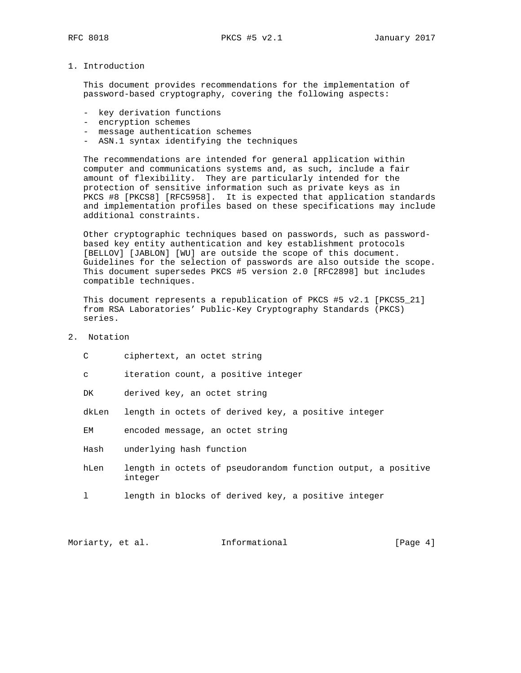### 1. Introduction

 This document provides recommendations for the implementation of password-based cryptography, covering the following aspects:

- key derivation functions
- encryption schemes
- message authentication schemes
- ASN.1 syntax identifying the techniques

 The recommendations are intended for general application within computer and communications systems and, as such, include a fair amount of flexibility. They are particularly intended for the protection of sensitive information such as private keys as in PKCS #8 [PKCS8] [RFC5958]. It is expected that application standards and implementation profiles based on these specifications may include additional constraints.

 Other cryptographic techniques based on passwords, such as password based key entity authentication and key establishment protocols [BELLOV] [JABLON] [WU] are outside the scope of this document. Guidelines for the selection of passwords are also outside the scope. This document supersedes PKCS #5 version 2.0 [RFC2898] but includes compatible techniques.

 This document represents a republication of PKCS #5 v2.1 [PKCS5\_21] from RSA Laboratories' Public-Key Cryptography Standards (PKCS) series.

2. Notation

| C     | ciphertext, an octet string                                             |
|-------|-------------------------------------------------------------------------|
| C     | iteration count, a positive integer                                     |
| DK    | derived key, an octet string                                            |
| dkLen | length in octets of derived key, a positive integer                     |
| EM    | encoded message, an octet string                                        |
| Hash  | underlying hash function                                                |
| hLen  | length in octets of pseudorandom function output, a positive<br>integer |
|       | length in blocks of derived key, a positive integer                     |
|       |                                                                         |

Moriarty, et al. 1nformational 1999 [Page 4]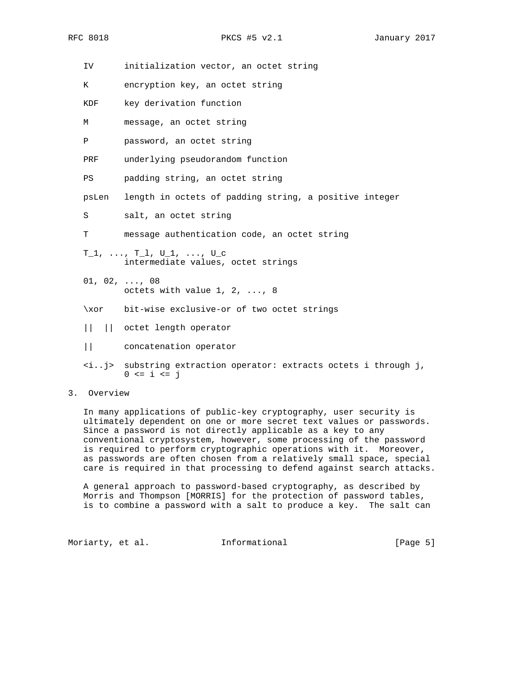IV initialization vector, an octet string

- K encryption key, an octet string
- KDF key derivation function
- M message, an octet string
- P password, an octet string
- PRF underlying pseudorandom function
- PS padding string, an octet string
- psLen length in octets of padding string, a positive integer
- S salt, an octet string
- T message authentication code, an octet string
- $T_1, \ldots, T_l, U_1, \ldots, U_c$ intermediate values, octet strings
- $01, 02, ..., 08$ octets with value 1, 2, ..., 8
- \xor bit-wise exclusive-or of two octet strings
- || || octet length operator
- || concatenation operator
- <i..j> substring extraction operator: extracts octets i through j,  $0 \le i \le j$

## 3. Overview

 In many applications of public-key cryptography, user security is ultimately dependent on one or more secret text values or passwords. Since a password is not directly applicable as a key to any conventional cryptosystem, however, some processing of the password is required to perform cryptographic operations with it. Moreover, as passwords are often chosen from a relatively small space, special care is required in that processing to defend against search attacks.

 A general approach to password-based cryptography, as described by Morris and Thompson [MORRIS] for the protection of password tables, is to combine a password with a salt to produce a key. The salt can

Moriarty, et al. 1nformational 1999 [Page 5]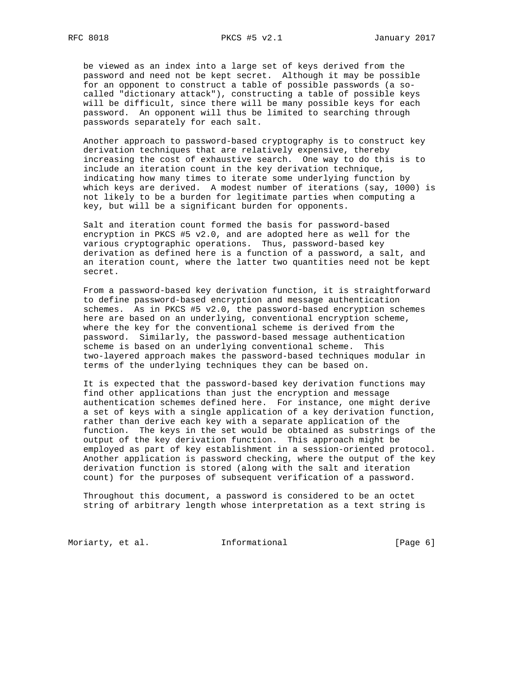be viewed as an index into a large set of keys derived from the password and need not be kept secret. Although it may be possible for an opponent to construct a table of possible passwords (a so called "dictionary attack"), constructing a table of possible keys will be difficult, since there will be many possible keys for each password. An opponent will thus be limited to searching through passwords separately for each salt.

 Another approach to password-based cryptography is to construct key derivation techniques that are relatively expensive, thereby increasing the cost of exhaustive search. One way to do this is to include an iteration count in the key derivation technique, indicating how many times to iterate some underlying function by which keys are derived. A modest number of iterations (say, 1000) is not likely to be a burden for legitimate parties when computing a key, but will be a significant burden for opponents.

 Salt and iteration count formed the basis for password-based encryption in PKCS #5 v2.0, and are adopted here as well for the various cryptographic operations. Thus, password-based key derivation as defined here is a function of a password, a salt, and an iteration count, where the latter two quantities need not be kept secret.

From a password-based key derivation function, it is straightforward to define password-based encryption and message authentication schemes. As in PKCS #5 v2.0, the password-based encryption schemes here are based on an underlying, conventional encryption scheme, where the key for the conventional scheme is derived from the password. Similarly, the password-based message authentication scheme is based on an underlying conventional scheme. This two-layered approach makes the password-based techniques modular in terms of the underlying techniques they can be based on.

 It is expected that the password-based key derivation functions may find other applications than just the encryption and message authentication schemes defined here. For instance, one might derive a set of keys with a single application of a key derivation function, rather than derive each key with a separate application of the function. The keys in the set would be obtained as substrings of the output of the key derivation function. This approach might be employed as part of key establishment in a session-oriented protocol. Another application is password checking, where the output of the key derivation function is stored (along with the salt and iteration count) for the purposes of subsequent verification of a password.

 Throughout this document, a password is considered to be an octet string of arbitrary length whose interpretation as a text string is

Moriarty, et al. 1nformational 1999 [Page 6]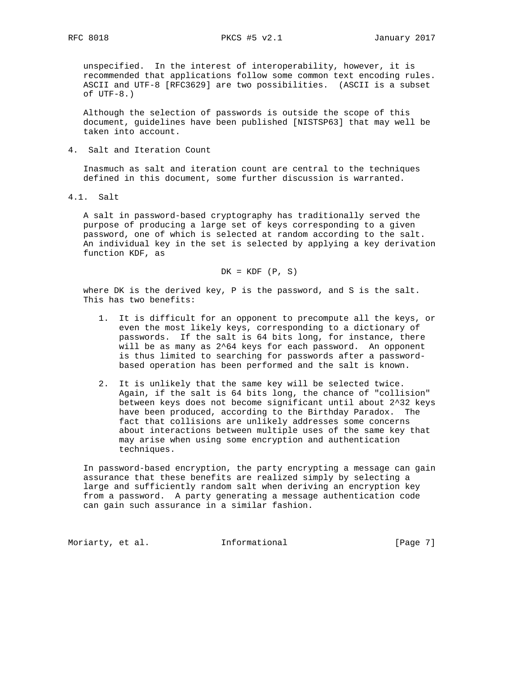unspecified. In the interest of interoperability, however, it is recommended that applications follow some common text encoding rules. ASCII and UTF-8 [RFC3629] are two possibilities. (ASCII is a subset of UTF-8.)

 Although the selection of passwords is outside the scope of this document, guidelines have been published [NISTSP63] that may well be taken into account.

4. Salt and Iteration Count

 Inasmuch as salt and iteration count are central to the techniques defined in this document, some further discussion is warranted.

4.1. Salt

 A salt in password-based cryptography has traditionally served the purpose of producing a large set of keys corresponding to a given password, one of which is selected at random according to the salt. An individual key in the set is selected by applying a key derivation function KDF, as

$$
DK = KDF (P, S)
$$

 where DK is the derived key, P is the password, and S is the salt. This has two benefits:

- 1. It is difficult for an opponent to precompute all the keys, or even the most likely keys, corresponding to a dictionary of passwords. If the salt is 64 bits long, for instance, there will be as many as 2^64 keys for each password. An opponent is thus limited to searching for passwords after a password based operation has been performed and the salt is known.
- 2. It is unlikely that the same key will be selected twice. Again, if the salt is 64 bits long, the chance of "collision" between keys does not become significant until about 2^32 keys have been produced, according to the Birthday Paradox. The fact that collisions are unlikely addresses some concerns about interactions between multiple uses of the same key that may arise when using some encryption and authentication techniques.

 In password-based encryption, the party encrypting a message can gain assurance that these benefits are realized simply by selecting a large and sufficiently random salt when deriving an encryption key from a password. A party generating a message authentication code can gain such assurance in a similar fashion.

Moriarty, et al. 1nformational 1999 [Page 7]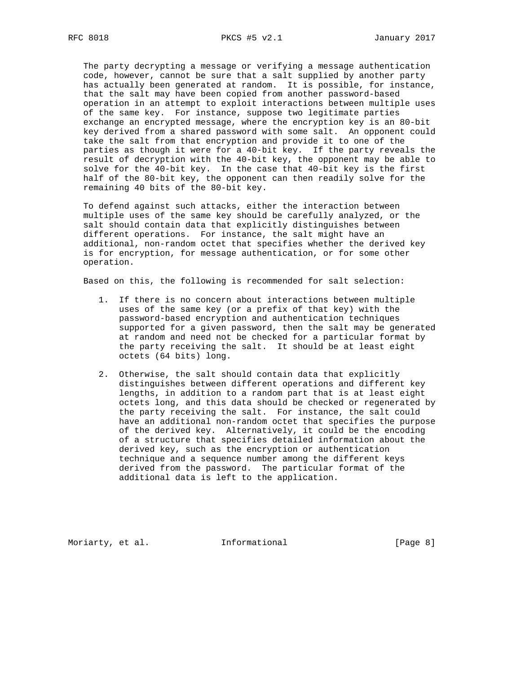The party decrypting a message or verifying a message authentication code, however, cannot be sure that a salt supplied by another party has actually been generated at random. It is possible, for instance, that the salt may have been copied from another password-based operation in an attempt to exploit interactions between multiple uses of the same key. For instance, suppose two legitimate parties exchange an encrypted message, where the encryption key is an 80-bit key derived from a shared password with some salt. An opponent could take the salt from that encryption and provide it to one of the parties as though it were for a 40-bit key. If the party reveals the result of decryption with the 40-bit key, the opponent may be able to solve for the 40-bit key. In the case that 40-bit key is the first half of the 80-bit key, the opponent can then readily solve for the remaining 40 bits of the 80-bit key.

 To defend against such attacks, either the interaction between multiple uses of the same key should be carefully analyzed, or the salt should contain data that explicitly distinguishes between different operations. For instance, the salt might have an additional, non-random octet that specifies whether the derived key is for encryption, for message authentication, or for some other operation.

Based on this, the following is recommended for salt selection:

- 1. If there is no concern about interactions between multiple uses of the same key (or a prefix of that key) with the password-based encryption and authentication techniques supported for a given password, then the salt may be generated at random and need not be checked for a particular format by the party receiving the salt. It should be at least eight octets (64 bits) long.
- 2. Otherwise, the salt should contain data that explicitly distinguishes between different operations and different key lengths, in addition to a random part that is at least eight octets long, and this data should be checked or regenerated by the party receiving the salt. For instance, the salt could have an additional non-random octet that specifies the purpose of the derived key. Alternatively, it could be the encoding of a structure that specifies detailed information about the derived key, such as the encryption or authentication technique and a sequence number among the different keys derived from the password. The particular format of the additional data is left to the application.

Moriarty, et al. 1nformational 1999 [Page 8]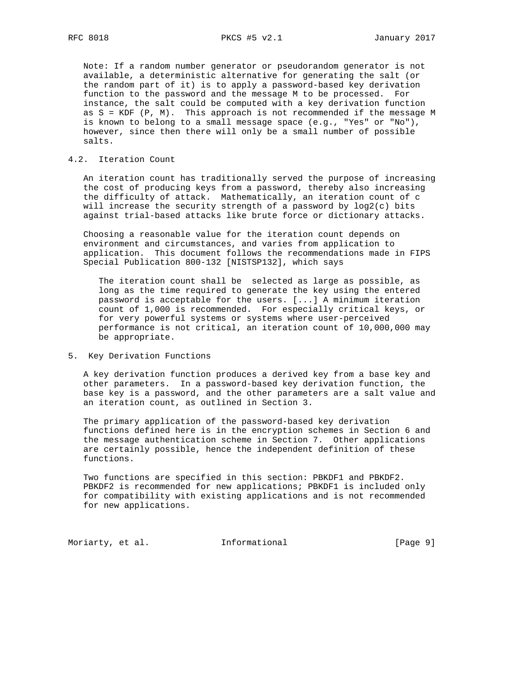Note: If a random number generator or pseudorandom generator is not available, a deterministic alternative for generating the salt (or the random part of it) is to apply a password-based key derivation function to the password and the message M to be processed. For instance, the salt could be computed with a key derivation function as S = KDF (P, M). This approach is not recommended if the message M is known to belong to a small message space (e.g., "Yes" or "No"), however, since then there will only be a small number of possible salts.

# 4.2. Iteration Count

 An iteration count has traditionally served the purpose of increasing the cost of producing keys from a password, thereby also increasing the difficulty of attack. Mathematically, an iteration count of c will increase the security strength of a password by log2(c) bits against trial-based attacks like brute force or dictionary attacks.

 Choosing a reasonable value for the iteration count depends on environment and circumstances, and varies from application to application. This document follows the recommendations made in FIPS Special Publication 800-132 [NISTSP132], which says

 The iteration count shall be selected as large as possible, as long as the time required to generate the key using the entered password is acceptable for the users. [...] A minimum iteration count of 1,000 is recommended. For especially critical keys, or for very powerful systems or systems where user-perceived performance is not critical, an iteration count of 10,000,000 may be appropriate.

### 5. Key Derivation Functions

 A key derivation function produces a derived key from a base key and other parameters. In a password-based key derivation function, the base key is a password, and the other parameters are a salt value and an iteration count, as outlined in Section 3.

 The primary application of the password-based key derivation functions defined here is in the encryption schemes in Section 6 and the message authentication scheme in Section 7. Other applications are certainly possible, hence the independent definition of these functions.

 Two functions are specified in this section: PBKDF1 and PBKDF2. PBKDF2 is recommended for new applications; PBKDF1 is included only for compatibility with existing applications and is not recommended for new applications.

Moriarty, et al. 1nformational 1999 [Page 9]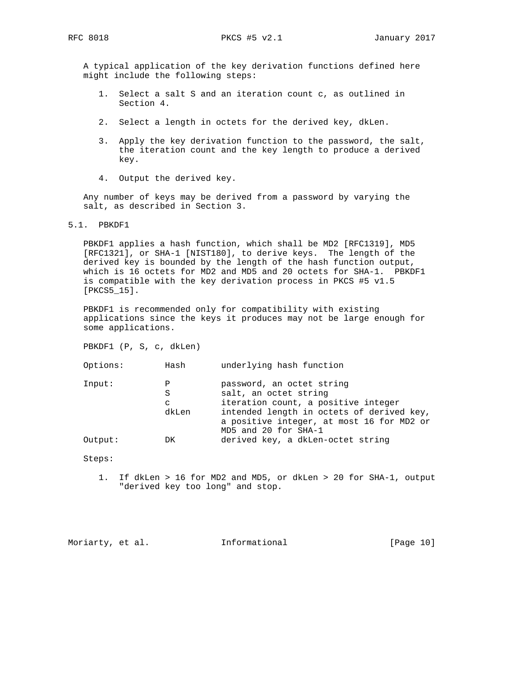A typical application of the key derivation functions defined here might include the following steps:

- 1. Select a salt S and an iteration count c, as outlined in Section 4.
- 2. Select a length in octets for the derived key, dkLen.
- 3. Apply the key derivation function to the password, the salt, the iteration count and the key length to produce a derived key.
- 4. Output the derived key.

 Any number of keys may be derived from a password by varying the salt, as described in Section 3.

5.1. PBKDF1

 PBKDF1 applies a hash function, which shall be MD2 [RFC1319], MD5 [RFC1321], or SHA-1 [NIST180], to derive keys. The length of the derived key is bounded by the length of the hash function output, which is 16 octets for MD2 and MD5 and 20 octets for SHA-1. PBKDF1 is compatible with the key derivation process in PKCS #5 v1.5 [PKCS5\_15].

 PBKDF1 is recommended only for compatibility with existing applications since the keys it produces may not be large enough for some applications.

PBKDF1 (P, S, c, dkLen)

| Options: | Hash | underlying hash function |  |  |
|----------|------|--------------------------|--|--|
|          |      |                          |  |  |

| Input:  | P<br>S | password, an octet string<br>salt, an octet string |
|---------|--------|----------------------------------------------------|
|         | C      | iteration count, a positive integer                |
|         | dkLen  | intended length in octets of derived key,          |
|         |        | a positive integer, at most 16 for MD2 or          |
|         |        | MD5 and 20 for SHA-1                               |
| Output: | DK     | derived key, a dkLen-octet string                  |

Steps:

 1. If dkLen > 16 for MD2 and MD5, or dkLen > 20 for SHA-1, output "derived key too long" and stop.

Moriarty, et al. 1nformational [Page 10]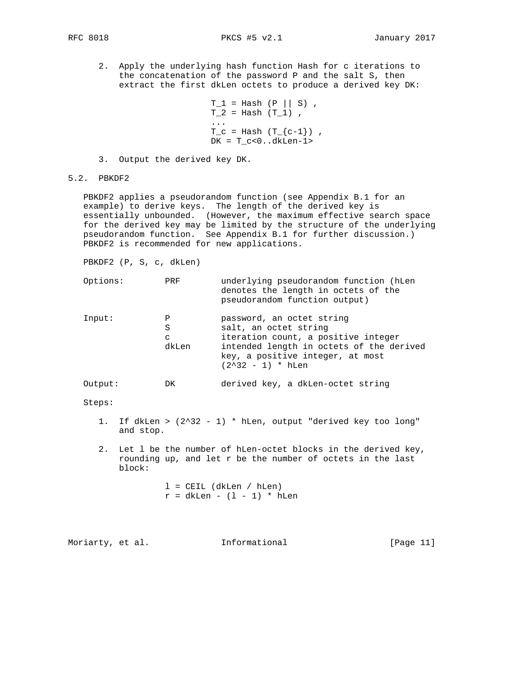2. Apply the underlying hash function Hash for c iterations to the concatenation of the password P and the salt S, then

extract the first dkLen octets to produce a derived key DK:

```
T_1 = Hash (P || S),
                     T^2 = Hash (T_1) ,
 ...
                     T_c = Hash (T_{c-1}) ,
                     DK = T_c < 0..dkLen-1>
```
3. Output the derived key DK.

5.2. PBKDF2

 PBKDF2 applies a pseudorandom function (see Appendix B.1 for an example) to derive keys. The length of the derived key is essentially unbounded. (However, the maximum effective search space for the derived key may be limited by the structure of the underlying pseudorandom function. See Appendix B.1 for further discussion.) PBKDF2 is recommended for new applications.

PBKDF2 (P, S, c, dkLen)

| Options: | PRF                  | underlying pseudorandom function (hLen<br>denotes the length in octets of the<br>pseudorandom function output)                                                                                   |
|----------|----------------------|--------------------------------------------------------------------------------------------------------------------------------------------------------------------------------------------------|
| Input:   | Ρ<br>S<br>C<br>dkLen | password, an octet string<br>salt, an octet string<br>iteration count, a positive integer<br>intended length in octets of the derived<br>key, a positive integer, at most<br>$(2^32 - 1) * hLen$ |
|          |                      |                                                                                                                                                                                                  |

Output: DK derived key, a dkLen-octet string

Steps:

- 1. If dkLen > (2^32 1) \* hLen, output "derived key too long" and stop.
- 2. Let l be the number of hLen-octet blocks in the derived key, rounding up, and let r be the number of octets in the last block:

 l = CEIL (dkLen / hLen)  $r = d$ kLen -  $(1 - 1) * h$ Len

Moriarty, et al. 1nformational [Page 11]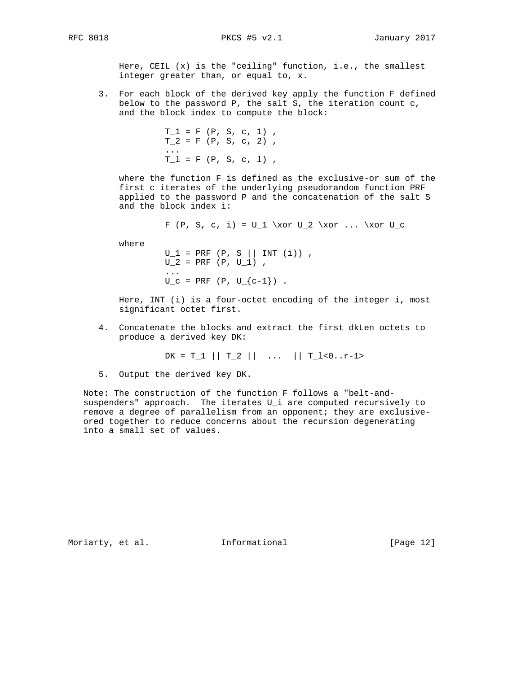Here, CEIL (x) is the "ceiling" function, i.e., the smallest integer greater than, or equal to, x.

 3. For each block of the derived key apply the function F defined below to the password P, the salt S, the iteration count c, and the block index to compute the block:

 $T_1 = F (P, S, c, 1)$ ,  $T_2 = F (P, S, c, 2)$ , ...  $T_1 = F (P, S, c, 1)$ ,

> where the function F is defined as the exclusive-or sum of the first c iterates of the underlying pseudorandom function PRF applied to the password P and the concatenation of the salt S and the block index i:

> > F (P, S, c, i) =  $U_1 \xor U_2 \xor ... \xor U_c$

where

 $U_1 = PRF (P, S || INT (i))$ ,  $U_2 = PRF (P, U_1)$ , ...  $U_c = PRF (P, U_{c-1})$ .

> Here, INT (i) is a four-octet encoding of the integer i, most significant octet first.

 4. Concatenate the blocks and extract the first dkLen octets to produce a derived key DK:

 $DK = T_1 || T_2 || \dots || T_l < 0 \dots$ 

5. Output the derived key DK.

 Note: The construction of the function F follows a "belt-and suspenders" approach. The iterates U\_i are computed recursively to remove a degree of parallelism from an opponent; they are exclusive ored together to reduce concerns about the recursion degenerating into a small set of values.

Moriarty, et al. 1nformational [Page 12]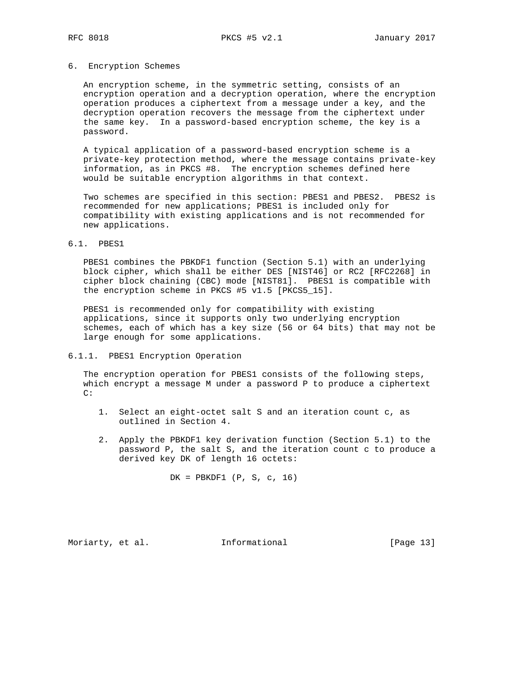### 6. Encryption Schemes

 An encryption scheme, in the symmetric setting, consists of an encryption operation and a decryption operation, where the encryption operation produces a ciphertext from a message under a key, and the decryption operation recovers the message from the ciphertext under the same key. In a password-based encryption scheme, the key is a password.

 A typical application of a password-based encryption scheme is a private-key protection method, where the message contains private-key information, as in PKCS #8. The encryption schemes defined here would be suitable encryption algorithms in that context.

 Two schemes are specified in this section: PBES1 and PBES2. PBES2 is recommended for new applications; PBES1 is included only for compatibility with existing applications and is not recommended for new applications.

### 6.1. PBES1

 PBES1 combines the PBKDF1 function (Section 5.1) with an underlying block cipher, which shall be either DES [NIST46] or RC2 [RFC2268] in cipher block chaining (CBC) mode [NIST81]. PBES1 is compatible with the encryption scheme in PKCS #5 v1.5 [PKCS5\_15].

 PBES1 is recommended only for compatibility with existing applications, since it supports only two underlying encryption schemes, each of which has a key size (56 or 64 bits) that may not be large enough for some applications.

# 6.1.1. PBES1 Encryption Operation

 The encryption operation for PBES1 consists of the following steps, which encrypt a message M under a password P to produce a ciphertext  $C$ :

- 1. Select an eight-octet salt S and an iteration count c, as outlined in Section 4.
- 2. Apply the PBKDF1 key derivation function (Section 5.1) to the password P, the salt S, and the iteration count c to produce a derived key DK of length 16 octets:

 $DK = PBKDF1$  (P, S, c, 16)

Moriarty, et al. 1nformational 1999 [Page 13]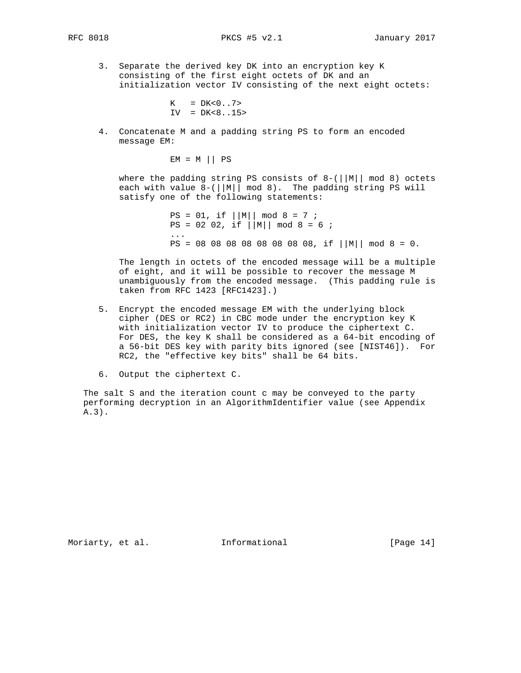3. Separate the derived key DK into an encryption key K consisting of the first eight octets of DK and an initialization vector IV consisting of the next eight octets:

> $K = DK < 0.7 >$  $IV = DK < 8.15$

 4. Concatenate M and a padding string PS to form an encoded message EM:

 $EM = M || PS$ 

where the padding string PS consists of 8-(||M|| mod 8) octets each with value  $8-(||M|| \mod 8)$ . The padding string PS will satisfy one of the following statements:

 $PS = 01$ , if  $||M|| \mod 8 = 7$ ;  $PS = 02 02$ , if  $|M|| \mod 8 = 6$ ; ...  $PS = 08 08 08 08 08 08 08 08 08$ , if  $||M|| \mod 8 = 0$ .

> The length in octets of the encoded message will be a multiple of eight, and it will be possible to recover the message M unambiguously from the encoded message. (This padding rule is taken from RFC 1423 [RFC1423].)

- 5. Encrypt the encoded message EM with the underlying block cipher (DES or RC2) in CBC mode under the encryption key K with initialization vector IV to produce the ciphertext C. For DES, the key K shall be considered as a 64-bit encoding of a 56-bit DES key with parity bits ignored (see [NIST46]). For RC2, the "effective key bits" shall be 64 bits.
- 6. Output the ciphertext C.

 The salt S and the iteration count c may be conveyed to the party performing decryption in an AlgorithmIdentifier value (see Appendix A.3).

Moriarty, et al. 1nformational [Page 14]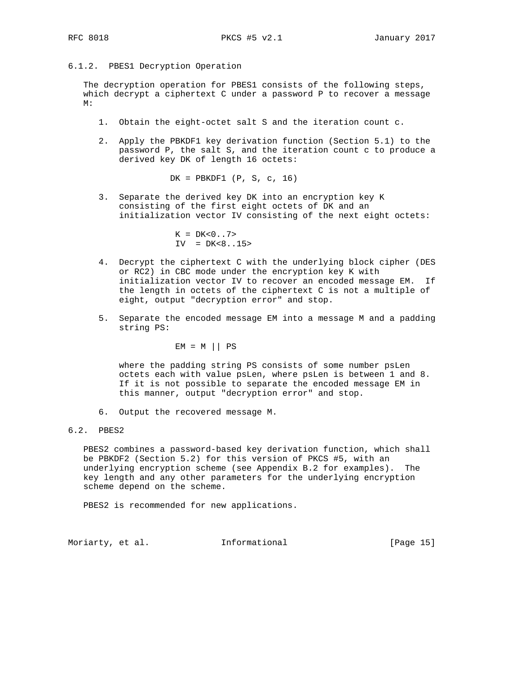6.1.2. PBES1 Decryption Operation

 The decryption operation for PBES1 consists of the following steps, which decrypt a ciphertext C under a password P to recover a message M:

- 1. Obtain the eight-octet salt S and the iteration count c.
- 2. Apply the PBKDF1 key derivation function (Section 5.1) to the password P, the salt S, and the iteration count c to produce a derived key DK of length 16 octets:

DK = PBKDF1 (P, S, c, 16)

 3. Separate the derived key DK into an encryption key K consisting of the first eight octets of DK and an initialization vector IV consisting of the next eight octets:

> $K = DK < 0.7$  $IV = DK < 8.15$

- 4. Decrypt the ciphertext C with the underlying block cipher (DES or RC2) in CBC mode under the encryption key K with initialization vector IV to recover an encoded message EM. If the length in octets of the ciphertext C is not a multiple of eight, output "decryption error" and stop.
- 5. Separate the encoded message EM into a message M and a padding string PS:

 $EM = M || PS$ 

 where the padding string PS consists of some number psLen octets each with value psLen, where psLen is between 1 and 8. If it is not possible to separate the encoded message EM in this manner, output "decryption error" and stop.

- 6. Output the recovered message M.
- 6.2. PBES2

 PBES2 combines a password-based key derivation function, which shall be PBKDF2 (Section 5.2) for this version of PKCS #5, with an underlying encryption scheme (see Appendix B.2 for examples). The key length and any other parameters for the underlying encryption scheme depend on the scheme.

PBES2 is recommended for new applications.

Moriarty, et al. 1nformational [Page 15]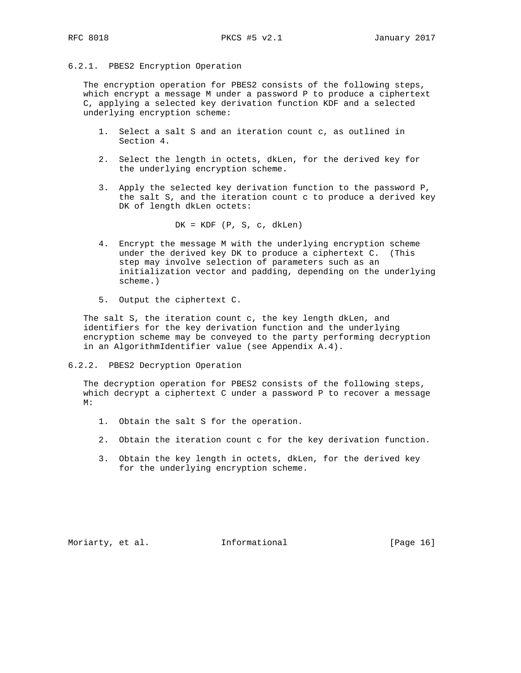## 6.2.1. PBES2 Encryption Operation

 The encryption operation for PBES2 consists of the following steps, which encrypt a message M under a password P to produce a ciphertext C, applying a selected key derivation function KDF and a selected underlying encryption scheme:

- 1. Select a salt S and an iteration count c, as outlined in Section 4.
- 2. Select the length in octets, dkLen, for the derived key for the underlying encryption scheme.
- 3. Apply the selected key derivation function to the password P, the salt S, and the iteration count c to produce a derived key DK of length dkLen octets:

 $DK = KDF (P, S, c, dklen)$ 

- 4. Encrypt the message M with the underlying encryption scheme under the derived key DK to produce a ciphertext C. (This step may involve selection of parameters such as an initialization vector and padding, depending on the underlying scheme.)
- 5. Output the ciphertext C.

 The salt S, the iteration count c, the key length dkLen, and identifiers for the key derivation function and the underlying encryption scheme may be conveyed to the party performing decryption in an AlgorithmIdentifier value (see Appendix A.4).

6.2.2. PBES2 Decryption Operation

 The decryption operation for PBES2 consists of the following steps, which decrypt a ciphertext C under a password P to recover a message M:

- 1. Obtain the salt S for the operation.
- 2. Obtain the iteration count c for the key derivation function.
- 3. Obtain the key length in octets, dkLen, for the derived key for the underlying encryption scheme.

Moriarty, et al. 1nformational 1999 [Page 16]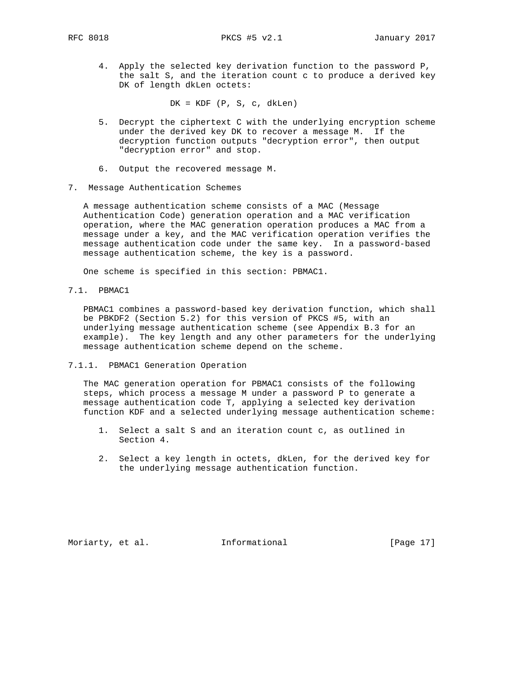4. Apply the selected key derivation function to the password P, the salt S, and the iteration count c to produce a derived key DK of length dkLen octets:

 $DK = KDF (P, S, c, dklen)$ 

- 5. Decrypt the ciphertext C with the underlying encryption scheme under the derived key DK to recover a message M. If the decryption function outputs "decryption error", then output "decryption error" and stop.
- 6. Output the recovered message M.
- 7. Message Authentication Schemes

 A message authentication scheme consists of a MAC (Message Authentication Code) generation operation and a MAC verification operation, where the MAC generation operation produces a MAC from a message under a key, and the MAC verification operation verifies the message authentication code under the same key. In a password-based message authentication scheme, the key is a password.

One scheme is specified in this section: PBMAC1.

7.1. PBMAC1

 PBMAC1 combines a password-based key derivation function, which shall be PBKDF2 (Section 5.2) for this version of PKCS #5, with an underlying message authentication scheme (see Appendix B.3 for an example). The key length and any other parameters for the underlying message authentication scheme depend on the scheme.

7.1.1. PBMAC1 Generation Operation

 The MAC generation operation for PBMAC1 consists of the following steps, which process a message M under a password P to generate a message authentication code T, applying a selected key derivation function KDF and a selected underlying message authentication scheme:

- 1. Select a salt S and an iteration count c, as outlined in Section 4.
- 2. Select a key length in octets, dkLen, for the derived key for the underlying message authentication function.

Moriarty, et al. 1nformational 1999 [Page 17]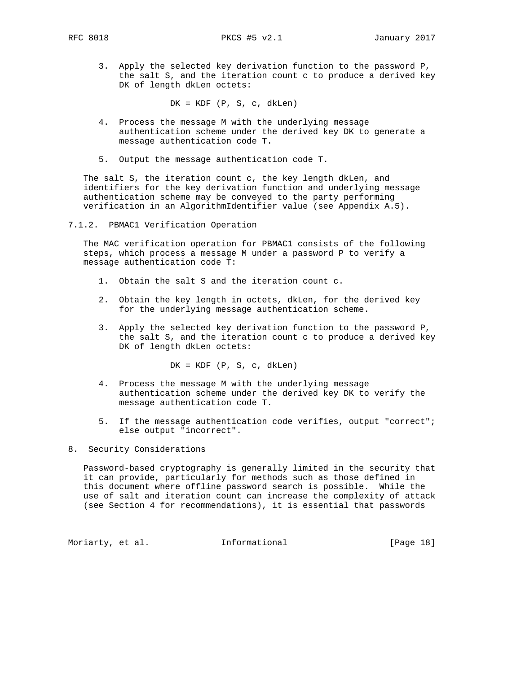3. Apply the selected key derivation function to the password P, the salt S, and the iteration count c to produce a derived key DK of length dkLen octets:

 $DK = KDF (P, S, c, dklen)$ 

- 4. Process the message M with the underlying message authentication scheme under the derived key DK to generate a message authentication code T.
- 5. Output the message authentication code T.

 The salt S, the iteration count c, the key length dkLen, and identifiers for the key derivation function and underlying message authentication scheme may be conveyed to the party performing verification in an AlgorithmIdentifier value (see Appendix A.5).

7.1.2. PBMAC1 Verification Operation

 The MAC verification operation for PBMAC1 consists of the following steps, which process a message M under a password P to verify a message authentication code T:

- 1. Obtain the salt S and the iteration count c.
- 2. Obtain the key length in octets, dkLen, for the derived key for the underlying message authentication scheme.
- 3. Apply the selected key derivation function to the password P, the salt S, and the iteration count c to produce a derived key DK of length dkLen octets:

 $DK = KDF (P, S, c, dklen)$ 

- 4. Process the message M with the underlying message authentication scheme under the derived key DK to verify the message authentication code T.
- 5. If the message authentication code verifies, output "correct"; else output "incorrect".

8. Security Considerations

 Password-based cryptography is generally limited in the security that it can provide, particularly for methods such as those defined in this document where offline password search is possible. While the use of salt and iteration count can increase the complexity of attack (see Section 4 for recommendations), it is essential that passwords

Moriarty, et al. 1nformational [Page 18]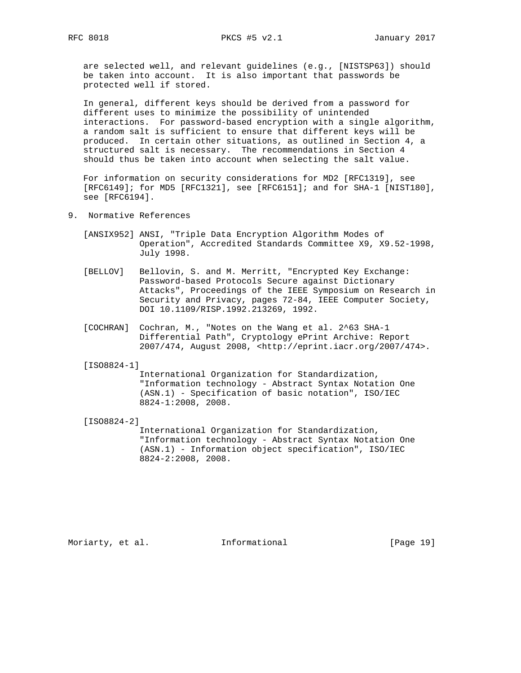are selected well, and relevant guidelines (e.g., [NISTSP63]) should be taken into account. It is also important that passwords be protected well if stored.

 In general, different keys should be derived from a password for different uses to minimize the possibility of unintended interactions. For password-based encryption with a single algorithm, a random salt is sufficient to ensure that different keys will be produced. In certain other situations, as outlined in Section 4, a structured salt is necessary. The recommendations in Section 4 should thus be taken into account when selecting the salt value.

 For information on security considerations for MD2 [RFC1319], see [RFC6149]; for MD5 [RFC1321], see [RFC6151]; and for SHA-1 [NIST180], see [RFC6194].

- 9. Normative References
	- [ANSIX952] ANSI, "Triple Data Encryption Algorithm Modes of Operation", Accredited Standards Committee X9, X9.52-1998, July 1998.
	- [BELLOV] Bellovin, S. and M. Merritt, "Encrypted Key Exchange: Password-based Protocols Secure against Dictionary Attacks", Proceedings of the IEEE Symposium on Research in Security and Privacy, pages 72-84, IEEE Computer Society, DOI 10.1109/RISP.1992.213269, 1992.
	- [COCHRAN] Cochran, M., "Notes on the Wang et al. 2^63 SHA-1 Differential Path", Cryptology ePrint Archive: Report 2007/474, August 2008, <http://eprint.iacr.org/2007/474>.

[ISO8824-1]

 International Organization for Standardization, "Information technology - Abstract Syntax Notation One (ASN.1) - Specification of basic notation", ISO/IEC 8824-1:2008, 2008.

[ISO8824-2]

 International Organization for Standardization, "Information technology - Abstract Syntax Notation One (ASN.1) - Information object specification", ISO/IEC 8824-2:2008, 2008.

Moriarty, et al. 1nformational 1917 [Page 19]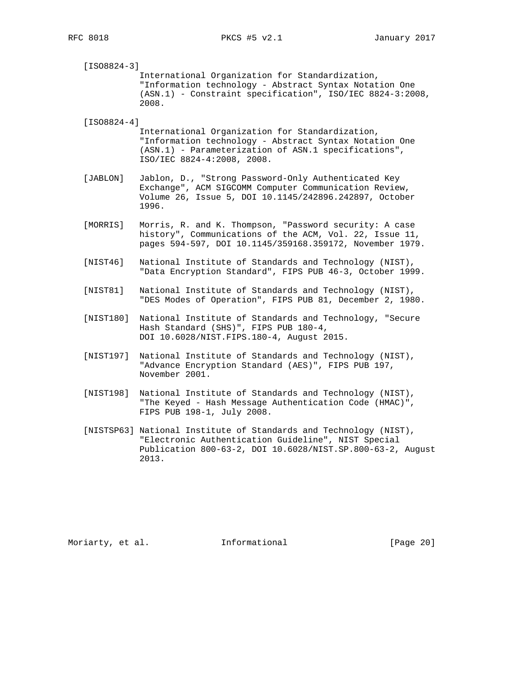[ISO8824-3] International Organization for Standardization, "Information technology - Abstract Syntax Notation One (ASN.1) - Constraint specification", ISO/IEC 8824-3:2008, 2008.

[ISO8824-4]

 International Organization for Standardization, "Information technology - Abstract Syntax Notation One (ASN.1) - Parameterization of ASN.1 specifications", ISO/IEC 8824-4:2008, 2008.

- [JABLON] Jablon, D., "Strong Password-Only Authenticated Key Exchange", ACM SIGCOMM Computer Communication Review, Volume 26, Issue 5, DOI 10.1145/242896.242897, October 1996.
- [MORRIS] Morris, R. and K. Thompson, "Password security: A case history", Communications of the ACM, Vol. 22, Issue 11, pages 594-597, DOI 10.1145/359168.359172, November 1979.
- [NIST46] National Institute of Standards and Technology (NIST), "Data Encryption Standard", FIPS PUB 46-3, October 1999.
- [NIST81] National Institute of Standards and Technology (NIST), "DES Modes of Operation", FIPS PUB 81, December 2, 1980.
- [NIST180] National Institute of Standards and Technology, "Secure Hash Standard (SHS)", FIPS PUB 180-4, DOI 10.6028/NIST.FIPS.180-4, August 2015.
- [NIST197] National Institute of Standards and Technology (NIST), "Advance Encryption Standard (AES)", FIPS PUB 197, November 2001.
- [NIST198] National Institute of Standards and Technology (NIST), "The Keyed - Hash Message Authentication Code (HMAC)", FIPS PUB 198-1, July 2008.
- [NISTSP63] National Institute of Standards and Technology (NIST), "Electronic Authentication Guideline", NIST Special Publication 800-63-2, DOI 10.6028/NIST.SP.800-63-2, August 2013.

Moriarty, et al. 1nformational 1999 [Page 20]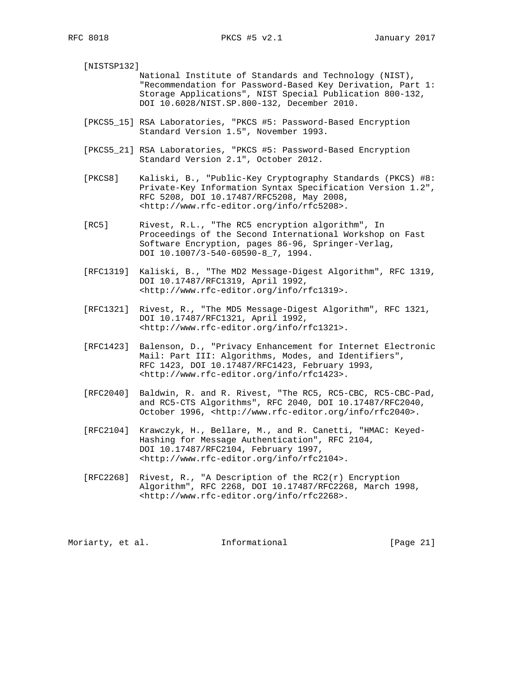[NISTSP132] National Institute of Standards and Technology (NIST), "Recommendation for Password-Based Key Derivation, Part 1: Storage Applications", NIST Special Publication 800-132, DOI 10.6028/NIST.SP.800-132, December 2010.

- [PKCS5\_15] RSA Laboratories, "PKCS #5: Password-Based Encryption Standard Version 1.5", November 1993.
- [PKCS5\_21] RSA Laboratories, "PKCS #5: Password-Based Encryption Standard Version 2.1", October 2012.
- [PKCS8] Kaliski, B., "Public-Key Cryptography Standards (PKCS) #8: Private-Key Information Syntax Specification Version 1.2", RFC 5208, DOI 10.17487/RFC5208, May 2008, <http://www.rfc-editor.org/info/rfc5208>.
- [RC5] Rivest, R.L., "The RC5 encryption algorithm", In Proceedings of the Second International Workshop on Fast Software Encryption, pages 86-96, Springer-Verlag, DOI 10.1007/3-540-60590-8\_7, 1994.
- [RFC1319] Kaliski, B., "The MD2 Message-Digest Algorithm", RFC 1319, DOI 10.17487/RFC1319, April 1992, <http://www.rfc-editor.org/info/rfc1319>.
- [RFC1321] Rivest, R., "The MD5 Message-Digest Algorithm", RFC 1321, DOI 10.17487/RFC1321, April 1992, <http://www.rfc-editor.org/info/rfc1321>.
- [RFC1423] Balenson, D., "Privacy Enhancement for Internet Electronic Mail: Part III: Algorithms, Modes, and Identifiers", RFC 1423, DOI 10.17487/RFC1423, February 1993, <http://www.rfc-editor.org/info/rfc1423>.
- [RFC2040] Baldwin, R. and R. Rivest, "The RC5, RC5-CBC, RC5-CBC-Pad, and RC5-CTS Algorithms", RFC 2040, DOI 10.17487/RFC2040, October 1996, <http://www.rfc-editor.org/info/rfc2040>.
- [RFC2104] Krawczyk, H., Bellare, M., and R. Canetti, "HMAC: Keyed- Hashing for Message Authentication", RFC 2104, DOI 10.17487/RFC2104, February 1997, <http://www.rfc-editor.org/info/rfc2104>.
- [RFC2268] Rivest, R., "A Description of the  $RC2(r)$  Encryption Algorithm", RFC 2268, DOI 10.17487/RFC2268, March 1998, <http://www.rfc-editor.org/info/rfc2268>.

Moriarty, et al. 1nformational [Page 21]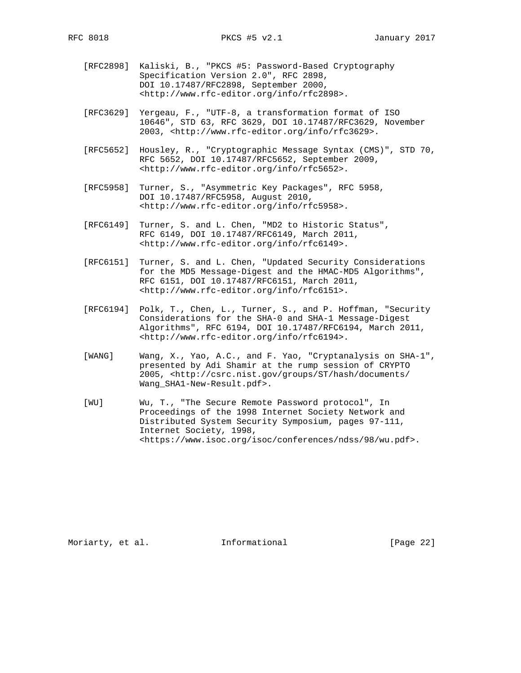- [RFC2898] Kaliski, B., "PKCS #5: Password-Based Cryptography Specification Version 2.0", RFC 2898, DOI 10.17487/RFC2898, September 2000, <http://www.rfc-editor.org/info/rfc2898>.
- [RFC3629] Yergeau, F., "UTF-8, a transformation format of ISO 10646", STD 63, RFC 3629, DOI 10.17487/RFC3629, November 2003, <http://www.rfc-editor.org/info/rfc3629>.
- [RFC5652] Housley, R., "Cryptographic Message Syntax (CMS)", STD 70, RFC 5652, DOI 10.17487/RFC5652, September 2009, <http://www.rfc-editor.org/info/rfc5652>.
- [RFC5958] Turner, S., "Asymmetric Key Packages", RFC 5958, DOI 10.17487/RFC5958, August 2010, <http://www.rfc-editor.org/info/rfc5958>.
- [RFC6149] Turner, S. and L. Chen, "MD2 to Historic Status", RFC 6149, DOI 10.17487/RFC6149, March 2011, <http://www.rfc-editor.org/info/rfc6149>.
- [RFC6151] Turner, S. and L. Chen, "Updated Security Considerations for the MD5 Message-Digest and the HMAC-MD5 Algorithms", RFC 6151, DOI 10.17487/RFC6151, March 2011, <http://www.rfc-editor.org/info/rfc6151>.
- [RFC6194] Polk, T., Chen, L., Turner, S., and P. Hoffman, "Security Considerations for the SHA-0 and SHA-1 Message-Digest Algorithms", RFC 6194, DOI 10.17487/RFC6194, March 2011, <http://www.rfc-editor.org/info/rfc6194>.
- [WANG] Wang, X., Yao, A.C., and F. Yao, "Cryptanalysis on SHA-1", presented by Adi Shamir at the rump session of CRYPTO 2005, <http://csrc.nist.gov/groups/ST/hash/documents/ Wang\_SHA1-New-Result.pdf>.
- [WU] Wu, T., "The Secure Remote Password protocol", In Proceedings of the 1998 Internet Society Network and Distributed System Security Symposium, pages 97-111, Internet Society, 1998, <https://www.isoc.org/isoc/conferences/ndss/98/wu.pdf>.

Moriarty, et al. 1nformational 1999 [Page 22]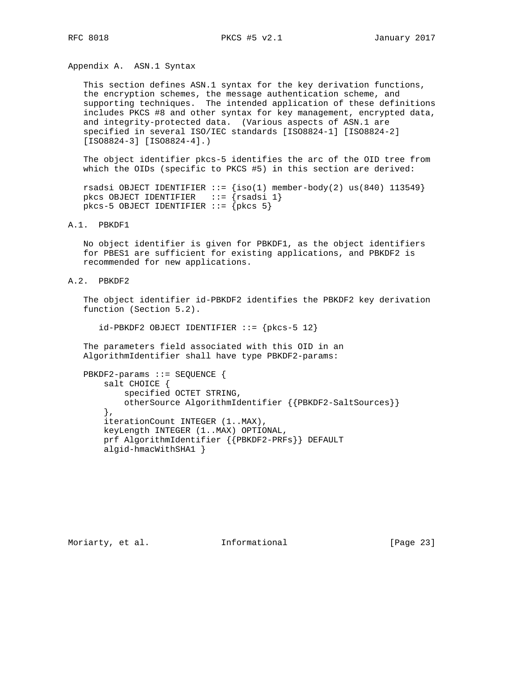Appendix A. ASN.1 Syntax

 This section defines ASN.1 syntax for the key derivation functions, the encryption schemes, the message authentication scheme, and supporting techniques. The intended application of these definitions includes PKCS #8 and other syntax for key management, encrypted data, and integrity-protected data. (Various aspects of ASN.1 are specified in several ISO/IEC standards [ISO8824-1] [ISO8824-2] [ISO8824-3] [ISO8824-4].)

 The object identifier pkcs-5 identifies the arc of the OID tree from which the OIDs (specific to PKCS #5) in this section are derived:

```
rsadsi OBJECT IDENTIFIER ::= \{iso(1) member-body(2) us(840) 113549}
pkcs OBJECT IDENTIFIER ::= {rsadsi 1}
  pkcs-5 OBJECT IDENTIFIER ::= {pkcs 5}
```
### A.1. PBKDF1

 No object identifier is given for PBKDF1, as the object identifiers for PBES1 are sufficient for existing applications, and PBKDF2 is recommended for new applications.

A.2. PBKDF2

 The object identifier id-PBKDF2 identifies the PBKDF2 key derivation function (Section 5.2).

 $id-PBKDF2$  OBJECT IDENTIFIER ::= { $pkcs-5$  12}

 The parameters field associated with this OID in an AlgorithmIdentifier shall have type PBKDF2-params:

```
 PBKDF2-params ::= SEQUENCE {
     salt CHOICE {
        specified OCTET STRING,
         otherSource AlgorithmIdentifier {{PBKDF2-SaltSources}}
     },
     iterationCount INTEGER (1..MAX),
     keyLength INTEGER (1..MAX) OPTIONAL,
     prf AlgorithmIdentifier {{PBKDF2-PRFs}} DEFAULT
     algid-hmacWithSHA1 }
```
Moriarty, et al. 1nformational 1999 [Page 23]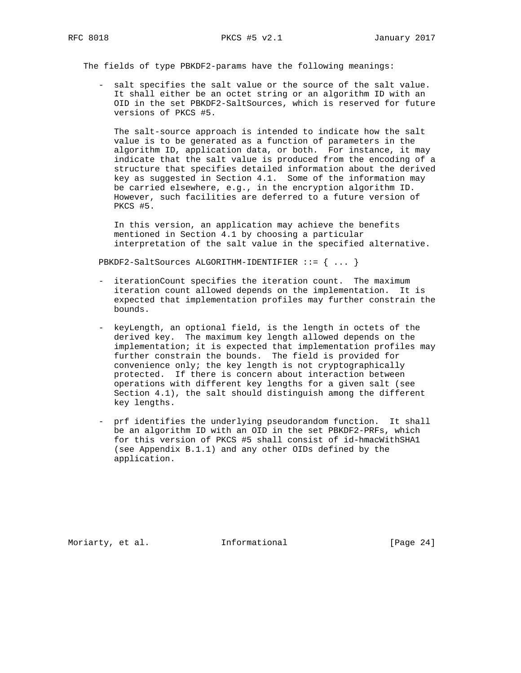The fields of type PBKDF2-params have the following meanings:

 - salt specifies the salt value or the source of the salt value. It shall either be an octet string or an algorithm ID with an OID in the set PBKDF2-SaltSources, which is reserved for future versions of PKCS #5.

 The salt-source approach is intended to indicate how the salt value is to be generated as a function of parameters in the algorithm ID, application data, or both. For instance, it may indicate that the salt value is produced from the encoding of a structure that specifies detailed information about the derived key as suggested in Section 4.1. Some of the information may be carried elsewhere, e.g., in the encryption algorithm ID. However, such facilities are deferred to a future version of PKCS #5.

 In this version, an application may achieve the benefits mentioned in Section 4.1 by choosing a particular interpretation of the salt value in the specified alternative.

PBKDF2-SaltSources ALGORITHM-IDENTIFIER ::= { ... }

- iterationCount specifies the iteration count. The maximum iteration count allowed depends on the implementation. It is expected that implementation profiles may further constrain the bounds.
- keyLength, an optional field, is the length in octets of the derived key. The maximum key length allowed depends on the implementation; it is expected that implementation profiles may further constrain the bounds. The field is provided for convenience only; the key length is not cryptographically protected. If there is concern about interaction between operations with different key lengths for a given salt (see Section 4.1), the salt should distinguish among the different key lengths.
- prf identifies the underlying pseudorandom function. It shall be an algorithm ID with an OID in the set PBKDF2-PRFs, which for this version of PKCS #5 shall consist of id-hmacWithSHA1 (see Appendix B.1.1) and any other OIDs defined by the application.

Moriarty, et al. 1nformational 1999 [Page 24]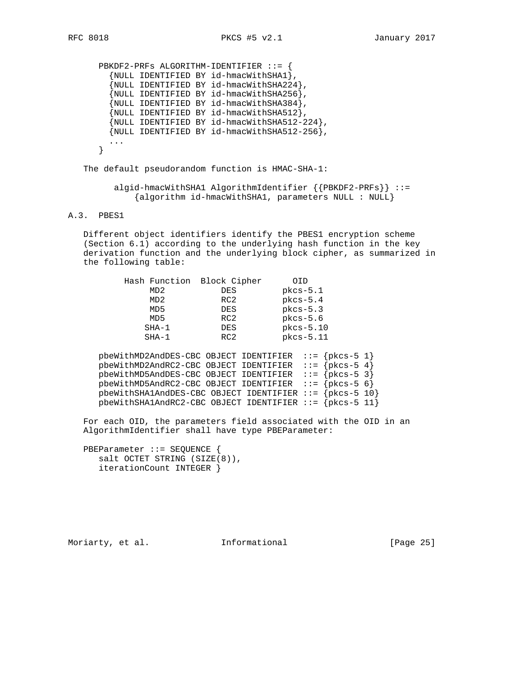PBKDF2-PRFs ALGORITHM-IDENTIFIER ::= { {NULL IDENTIFIED BY id-hmacWithSHA1}, {NULL IDENTIFIED BY id-hmacWithSHA224},  $\{NULL$  IDENTIFIED BY id-hmacWithSHA256 $\}$ , {NULL IDENTIFIED BY id-hmacWithSHA384}, {NULL IDENTIFIED BY id-hmacWithSHA512}, {NULL IDENTIFIED BY id-hmacWithSHA512-224}, {NULL IDENTIFIED BY id-hmacWithSHA512-256}, ... }

The default pseudorandom function is HMAC-SHA-1:

 algid-hmacWithSHA1 AlgorithmIdentifier {{PBKDF2-PRFs}} ::= {algorithm id-hmacWithSHA1, parameters NULL : NULL}

### A.3. PBES1

 Different object identifiers identify the PBES1 encryption scheme (Section 6.1) according to the underlying hash function in the key derivation function and the underlying block cipher, as summarized in the following table:

|         | Hash Function Block Cipher | OID         |
|---------|----------------------------|-------------|
| MD2     | <b>DES</b>                 | $pkcs-5.1$  |
| MD2     | RC2                        | $pkcs-5.4$  |
| MD5     | <b>DES</b>                 | $pkcs-5.3$  |
| MD5     | RC2                        | $pkcs-5.6$  |
| $SHA-1$ | <b>DES</b>                 | $pkcs-5.10$ |
| $SHA-1$ | RC2                        | $pkcs-5.11$ |

 pbeWithMD2AndDES-CBC OBJECT IDENTIFIER ::= {pkcs-5 1} pbeWithMD2AndRC2-CBC OBJECT IDENTIFIER ::= {pkcs-5 4} pbeWithMD5AndDES-CBC OBJECT IDENTIFIER ::= {pkcs-5 3} pbeWithMD5AndRC2-CBC OBJECT IDENTIFIER ::= {pkcs-5 6} pbeWithSHA1AndDES-CBC OBJECT IDENTIFIER ::= {pkcs-5 10} pbeWithSHA1AndRC2-CBC OBJECT IDENTIFIER  $::=$  {pkcs-5 11}

 For each OID, the parameters field associated with the OID in an AlgorithmIdentifier shall have type PBEParameter:

 PBEParameter ::= SEQUENCE { salt OCTET STRING (SIZE(8)), iterationCount INTEGER }

Moriarty, et al. 1nformational [Page 25]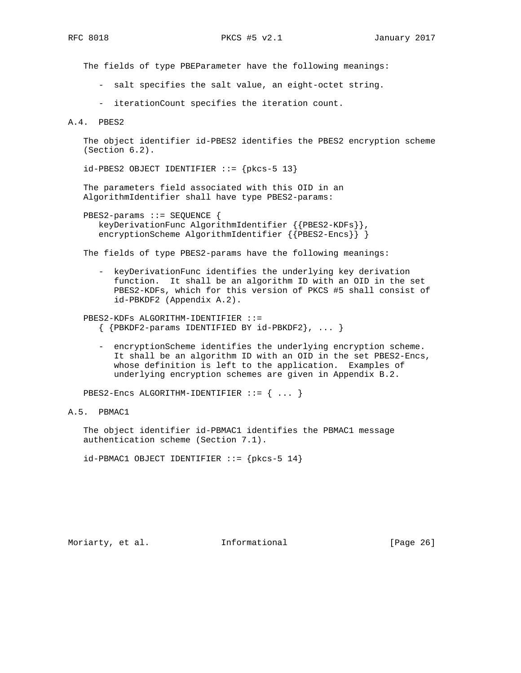The fields of type PBEParameter have the following meanings:

- salt specifies the salt value, an eight-octet string.
- iterationCount specifies the iteration count.

A.4. PBES2

 The object identifier id-PBES2 identifies the PBES2 encryption scheme (Section 6.2).

id-PBES2 OBJECT IDENTIFIER ::= {pkcs-5 13}

 The parameters field associated with this OID in an AlgorithmIdentifier shall have type PBES2-params:

```
 PBES2-params ::= SEQUENCE {
   keyDerivationFunc AlgorithmIdentifier {{PBES2-KDFs}},
   encryptionScheme AlgorithmIdentifier {{PBES2-Encs}} }
```
The fields of type PBES2-params have the following meanings:

 - keyDerivationFunc identifies the underlying key derivation function. It shall be an algorithm ID with an OID in the set PBES2-KDFs, which for this version of PKCS #5 shall consist of id-PBKDF2 (Appendix A.2).

 PBES2-KDFs ALGORITHM-IDENTIFIER ::=  $\{$  {PBKDF2-params IDENTIFIED BY id-PBKDF2}, ... }

 - encryptionScheme identifies the underlying encryption scheme. It shall be an algorithm ID with an OID in the set PBES2-Encs, whose definition is left to the application. Examples of underlying encryption schemes are given in Appendix B.2.

PBES2-Encs ALGORITHM-IDENTIFIER ::= { ... }

# A.5. PBMAC1

 The object identifier id-PBMAC1 identifies the PBMAC1 message authentication scheme (Section 7.1).

 $id-PBMAC1$  OBJECT IDENTIFIER  $::= \{pkcs-5 14\}$ 

Moriarty, et al. 1nformational [Page 26]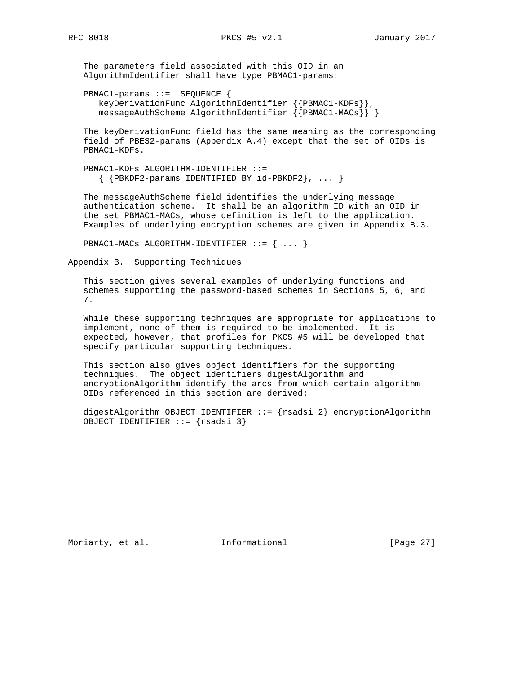The parameters field associated with this OID in an AlgorithmIdentifier shall have type PBMAC1-params:

 PBMAC1-params ::= SEQUENCE { keyDerivationFunc AlgorithmIdentifier {{PBMAC1-KDFs}}, messageAuthScheme AlgorithmIdentifier {{PBMAC1-MACs}} }

 The keyDerivationFunc field has the same meaning as the corresponding field of PBES2-params (Appendix A.4) except that the set of OIDs is PBMAC1-KDFs.

 PBMAC1-KDFs ALGORITHM-IDENTIFIER ::= { {PBKDF2-params IDENTIFIED BY id-PBKDF2}, ... }

 The messageAuthScheme field identifies the underlying message authentication scheme. It shall be an algorithm ID with an OID in the set PBMAC1-MACs, whose definition is left to the application. Examples of underlying encryption schemes are given in Appendix B.3.

PBMAC1-MACs ALGORITHM-IDENTIFIER ::= { ... }

Appendix B. Supporting Techniques

 This section gives several examples of underlying functions and schemes supporting the password-based schemes in Sections 5, 6, and 7.

 While these supporting techniques are appropriate for applications to implement, none of them is required to be implemented. It is expected, however, that profiles for PKCS #5 will be developed that specify particular supporting techniques.

 This section also gives object identifiers for the supporting techniques. The object identifiers digestAlgorithm and encryptionAlgorithm identify the arcs from which certain algorithm OIDs referenced in this section are derived:

 digestAlgorithm OBJECT IDENTIFIER ::= {rsadsi 2} encryptionAlgorithm OBJECT IDENTIFIER ::= {rsadsi 3}

Moriarty, et al. 1nformational 1999 [Page 27]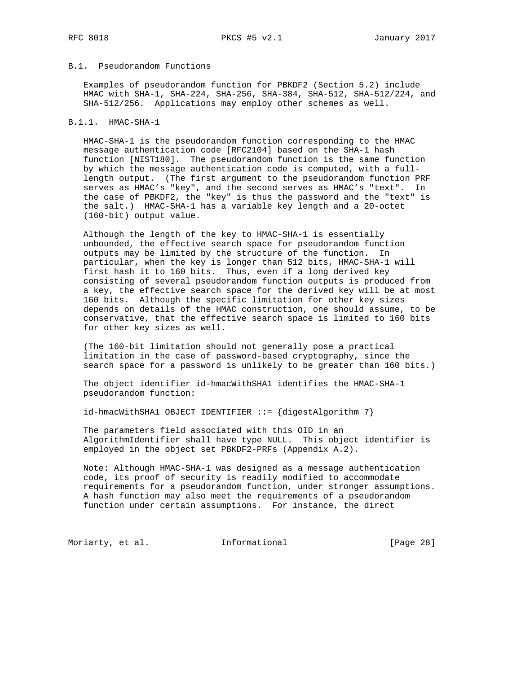# B.1. Pseudorandom Functions

 Examples of pseudorandom function for PBKDF2 (Section 5.2) include HMAC with SHA-1, SHA-224, SHA-256, SHA-384, SHA-512, SHA-512/224, and SHA-512/256. Applications may employ other schemes as well.

#### B.1.1. HMAC-SHA-1

 HMAC-SHA-1 is the pseudorandom function corresponding to the HMAC message authentication code [RFC2104] based on the SHA-1 hash function [NIST180]. The pseudorandom function is the same function by which the message authentication code is computed, with a full length output. (The first argument to the pseudorandom function PRF serves as HMAC's "key", and the second serves as HMAC's "text". In the case of PBKDF2, the "key" is thus the password and the "text" is the salt.) HMAC-SHA-1 has a variable key length and a 20-octet (160-bit) output value.

 Although the length of the key to HMAC-SHA-1 is essentially unbounded, the effective search space for pseudorandom function outputs may be limited by the structure of the function. In particular, when the key is longer than 512 bits, HMAC-SHA-1 will first hash it to 160 bits. Thus, even if a long derived key consisting of several pseudorandom function outputs is produced from a key, the effective search space for the derived key will be at most 160 bits. Although the specific limitation for other key sizes depends on details of the HMAC construction, one should assume, to be conservative, that the effective search space is limited to 160 bits for other key sizes as well.

 (The 160-bit limitation should not generally pose a practical limitation in the case of password-based cryptography, since the search space for a password is unlikely to be greater than 160 bits.)

 The object identifier id-hmacWithSHA1 identifies the HMAC-SHA-1 pseudorandom function:

 $id$ -hmacWithSHA1 OBJECT IDENTIFIER ::= {digestAlgorithm 7}

 The parameters field associated with this OID in an AlgorithmIdentifier shall have type NULL. This object identifier is employed in the object set PBKDF2-PRFs (Appendix A.2).

 Note: Although HMAC-SHA-1 was designed as a message authentication code, its proof of security is readily modified to accommodate requirements for a pseudorandom function, under stronger assumptions. A hash function may also meet the requirements of a pseudorandom function under certain assumptions. For instance, the direct

Moriarty, et al. 1nformational 1999 [Page 28]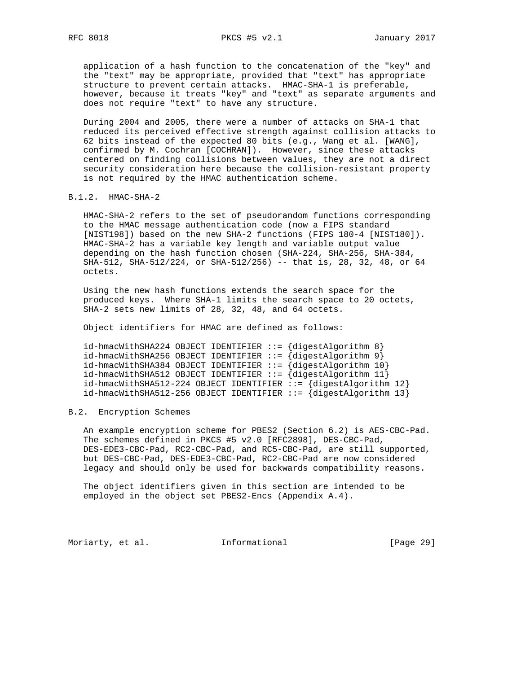application of a hash function to the concatenation of the "key" and the "text" may be appropriate, provided that "text" has appropriate structure to prevent certain attacks. HMAC-SHA-1 is preferable, however, because it treats "key" and "text" as separate arguments and does not require "text" to have any structure.

 During 2004 and 2005, there were a number of attacks on SHA-1 that reduced its perceived effective strength against collision attacks to 62 bits instead of the expected 80 bits (e.g., Wang et al. [WANG], confirmed by M. Cochran [COCHRAN]). However, since these attacks centered on finding collisions between values, they are not a direct security consideration here because the collision-resistant property is not required by the HMAC authentication scheme.

### B.1.2. HMAC-SHA-2

 HMAC-SHA-2 refers to the set of pseudorandom functions corresponding to the HMAC message authentication code (now a FIPS standard [NIST198]) based on the new SHA-2 functions (FIPS 180-4 [NIST180]). HMAC-SHA-2 has a variable key length and variable output value depending on the hash function chosen (SHA-224, SHA-256, SHA-384, SHA-512, SHA-512/224, or SHA-512/256) -- that is, 28, 32, 48, or 64 octets.

 Using the new hash functions extends the search space for the produced keys. Where SHA-1 limits the search space to 20 octets, SHA-2 sets new limits of 28, 32, 48, and 64 octets.

Object identifiers for HMAC are defined as follows:

```
 id-hmacWithSHA224 OBJECT IDENTIFIER ::= {digestAlgorithm 8}
 id-hmacWithSHA256 OBJECT IDENTIFIER ::= {digestAlgorithm 9}
 id-hmacWithSHA384 OBJECT IDENTIFIER ::= {digestAlgorithm 10}
 id-hmacWithSHA512 OBJECT IDENTIFIER ::= {digestAlgorithm 11}
 id-hmacWithSHA512-224 OBJECT IDENTIFIER ::= {digestAlgorithm 12}
id-hmacWithSHA512-256 OBJECT IDENTIFIER ::= \{digestAlgorithm 13\}
```
### B.2. Encryption Schemes

 An example encryption scheme for PBES2 (Section 6.2) is AES-CBC-Pad. The schemes defined in PKCS #5 v2.0 [RFC2898], DES-CBC-Pad, DES-EDE3-CBC-Pad, RC2-CBC-Pad, and RC5-CBC-Pad, are still supported, but DES-CBC-Pad, DES-EDE3-CBC-Pad, RC2-CBC-Pad are now considered legacy and should only be used for backwards compatibility reasons.

 The object identifiers given in this section are intended to be employed in the object set PBES2-Encs (Appendix A.4).

Moriarty, et al. 1nformational 1999 [Page 29]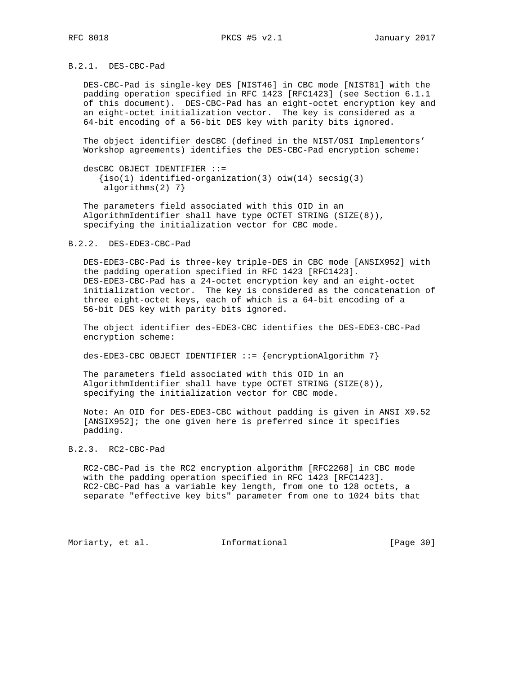B.2.1. DES-CBC-Pad

 DES-CBC-Pad is single-key DES [NIST46] in CBC mode [NIST81] with the padding operation specified in RFC 1423 [RFC1423] (see Section 6.1.1 of this document). DES-CBC-Pad has an eight-octet encryption key and an eight-octet initialization vector. The key is considered as a 64-bit encoding of a 56-bit DES key with parity bits ignored.

 The object identifier desCBC (defined in the NIST/OSI Implementors' Workshop agreements) identifies the DES-CBC-Pad encryption scheme:

 desCBC OBJECT IDENTIFIER ::=  ${\{iso(1)~\textrm{identified-organization}(3)~\textrm{o}}(14)~\textrm{secsig}(3)\}$ algorithms(2) 7}

 The parameters field associated with this OID in an AlgorithmIdentifier shall have type OCTET STRING (SIZE(8)), specifying the initialization vector for CBC mode.

### B.2.2. DES-EDE3-CBC-Pad

 DES-EDE3-CBC-Pad is three-key triple-DES in CBC mode [ANSIX952] with the padding operation specified in RFC 1423 [RFC1423]. DES-EDE3-CBC-Pad has a 24-octet encryption key and an eight-octet initialization vector. The key is considered as the concatenation of three eight-octet keys, each of which is a 64-bit encoding of a 56-bit DES key with parity bits ignored.

 The object identifier des-EDE3-CBC identifies the DES-EDE3-CBC-Pad encryption scheme:

des-EDE3-CBC OBJECT IDENTIFIER ::= {encryptionAlgorithm 7}

 The parameters field associated with this OID in an AlgorithmIdentifier shall have type OCTET STRING (SIZE(8)), specifying the initialization vector for CBC mode.

 Note: An OID for DES-EDE3-CBC without padding is given in ANSI X9.52 [ANSIX952]; the one given here is preferred since it specifies padding.

### B.2.3. RC2-CBC-Pad

 RC2-CBC-Pad is the RC2 encryption algorithm [RFC2268] in CBC mode with the padding operation specified in RFC 1423 [RFC1423]. RC2-CBC-Pad has a variable key length, from one to 128 octets, a separate "effective key bits" parameter from one to 1024 bits that

Moriarty, et al. 1nformational 1999 [Page 30]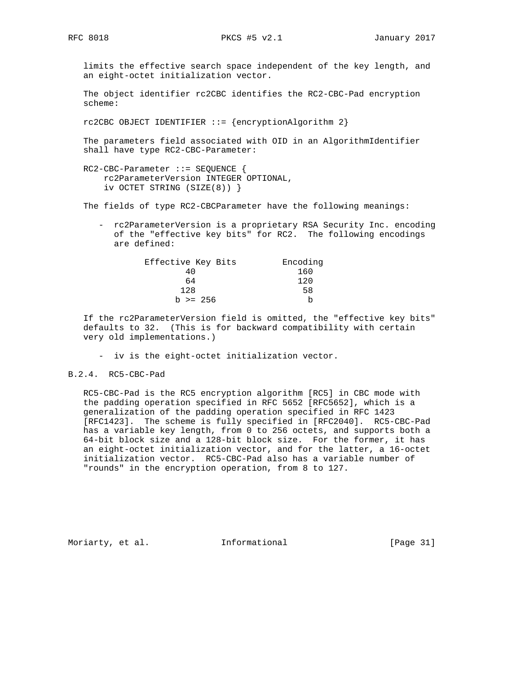limits the effective search space independent of the key length, and an eight-octet initialization vector.

 The object identifier rc2CBC identifies the RC2-CBC-Pad encryption scheme:

rc2CBC OBJECT IDENTIFIER ::= {encryptionAlgorithm 2}

 The parameters field associated with OID in an AlgorithmIdentifier shall have type RC2-CBC-Parameter:

 RC2-CBC-Parameter ::= SEQUENCE { rc2ParameterVersion INTEGER OPTIONAL, iv OCTET STRING (SIZE(8)) }

The fields of type RC2-CBCParameter have the following meanings:

 - rc2ParameterVersion is a proprietary RSA Security Inc. encoding of the "effective key bits" for RC2. The following encodings are defined:

| Effective Key Bits | Encoding |
|--------------------|----------|
| 40                 | 160      |
| 64                 | 120      |
| 128                | 58       |
| $b \ge 256$        | b        |

 If the rc2ParameterVersion field is omitted, the "effective key bits" defaults to 32. (This is for backward compatibility with certain very old implementations.)

- iv is the eight-octet initialization vector.

### B.2.4. RC5-CBC-Pad

 RC5-CBC-Pad is the RC5 encryption algorithm [RC5] in CBC mode with the padding operation specified in RFC 5652 [RFC5652], which is a generalization of the padding operation specified in RFC 1423 [RFC1423]. The scheme is fully specified in [RFC2040]. RC5-CBC-Pad has a variable key length, from 0 to 256 octets, and supports both a 64-bit block size and a 128-bit block size. For the former, it has an eight-octet initialization vector, and for the latter, a 16-octet initialization vector. RC5-CBC-Pad also has a variable number of "rounds" in the encryption operation, from 8 to 127.

Moriarty, et al. 1nformational 1999 [Page 31]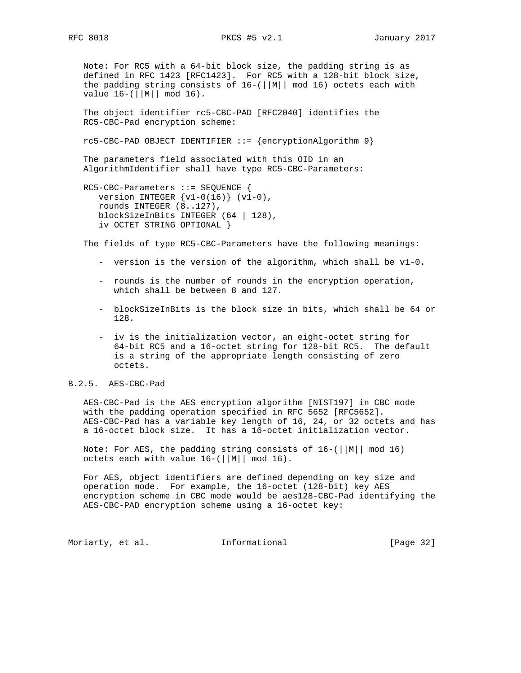Note: For RC5 with a 64-bit block size, the padding string is as defined in RFC 1423 [RFC1423]. For RC5 with a 128-bit block size, the padding string consists of 16-(||M|| mod 16) octets each with value 16-(||M|| mod 16).

 The object identifier rc5-CBC-PAD [RFC2040] identifies the RC5-CBC-Pad encryption scheme:

rc5-CBC-PAD OBJECT IDENTIFIER ::= {encryptionAlgorithm 9}

 The parameters field associated with this OID in an AlgorithmIdentifier shall have type RC5-CBC-Parameters:

```
 RC5-CBC-Parameters ::= SEQUENCE {
   version INTEGER \{v1-0(16)\} (v1-0),
    rounds INTEGER (8..127),
    blockSizeInBits INTEGER (64 | 128),
    iv OCTET STRING OPTIONAL }
```
The fields of type RC5-CBC-Parameters have the following meanings:

- version is the version of the algorithm, which shall be v1-0.
- rounds is the number of rounds in the encryption operation, which shall be between 8 and 127.
- blockSizeInBits is the block size in bits, which shall be 64 or 128.
- iv is the initialization vector, an eight-octet string for 64-bit RC5 and a 16-octet string for 128-bit RC5. The default is a string of the appropriate length consisting of zero octets.

### B.2.5. AES-CBC-Pad

 AES-CBC-Pad is the AES encryption algorithm [NIST197] in CBC mode with the padding operation specified in RFC 5652 [RFC5652]. AES-CBC-Pad has a variable key length of 16, 24, or 32 octets and has a 16-octet block size. It has a 16-octet initialization vector.

Note: For AES, the padding string consists of  $16-$ ( $||M||$  mod 16) octets each with value 16-(||M|| mod 16).

 For AES, object identifiers are defined depending on key size and operation mode. For example, the 16-octet (128-bit) key AES encryption scheme in CBC mode would be aes128-CBC-Pad identifying the AES-CBC-PAD encryption scheme using a 16-octet key:

Moriarty, et al. 1nformational 1999 [Page 32]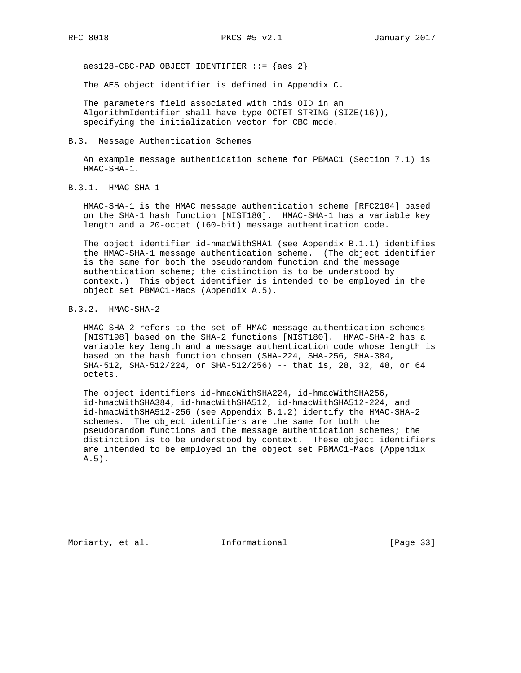$aes128$ -CBC-PAD OBJECT IDENTIFIER  $::=$  {aes 2}

The AES object identifier is defined in Appendix C.

 The parameters field associated with this OID in an AlgorithmIdentifier shall have type OCTET STRING (SIZE(16)), specifying the initialization vector for CBC mode.

B.3. Message Authentication Schemes

 An example message authentication scheme for PBMAC1 (Section 7.1) is HMAC-SHA-1.

B.3.1. HMAC-SHA-1

 HMAC-SHA-1 is the HMAC message authentication scheme [RFC2104] based on the SHA-1 hash function [NIST180]. HMAC-SHA-1 has a variable key length and a 20-octet (160-bit) message authentication code.

 The object identifier id-hmacWithSHA1 (see Appendix B.1.1) identifies the HMAC-SHA-1 message authentication scheme. (The object identifier is the same for both the pseudorandom function and the message authentication scheme; the distinction is to be understood by context.) This object identifier is intended to be employed in the object set PBMAC1-Macs (Appendix A.5).

## B.3.2. HMAC-SHA-2

 HMAC-SHA-2 refers to the set of HMAC message authentication schemes [NIST198] based on the SHA-2 functions [NIST180]. HMAC-SHA-2 has a variable key length and a message authentication code whose length is based on the hash function chosen (SHA-224, SHA-256, SHA-384, SHA-512, SHA-512/224, or SHA-512/256) -- that is, 28, 32, 48, or 64 octets.

 The object identifiers id-hmacWithSHA224, id-hmacWithSHA256, id-hmacWithSHA384, id-hmacWithSHA512, id-hmacWithSHA512-224, and id-hmacWithSHA512-256 (see Appendix B.1.2) identify the HMAC-SHA-2 schemes. The object identifiers are the same for both the pseudorandom functions and the message authentication schemes; the distinction is to be understood by context. These object identifiers are intended to be employed in the object set PBMAC1-Macs (Appendix A.5).

Moriarty, et al. 1nformational 1999 [Page 33]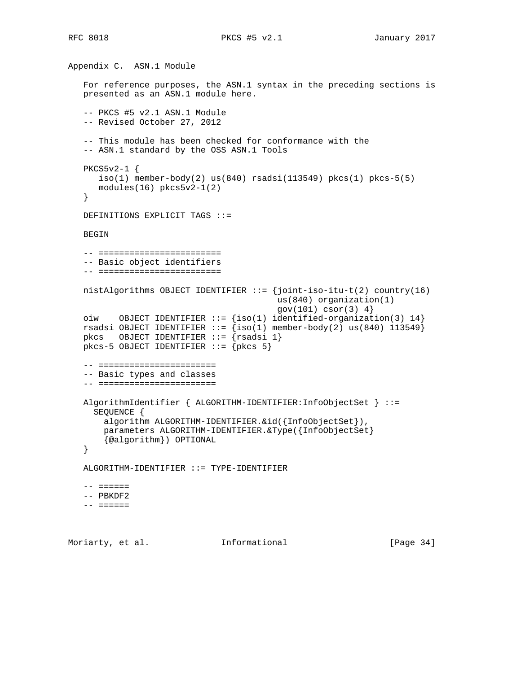```
Appendix C. ASN.1 Module
    For reference purposes, the ASN.1 syntax in the preceding sections is
   presented as an ASN.1 module here.
    -- PKCS #5 v2.1 ASN.1 Module
    -- Revised October 27, 2012
    -- This module has been checked for conformance with the
    -- ASN.1 standard by the OSS ASN.1 Tools
   PKCS5v2-1 {
     iso(1) member-body(2) us(840) rsadsi(113549) pkcs(1) pkcs-5(5)
       modules(16) pkcs5v2-1(2)
    }
   DEFINITIONS EXPLICIT TAGS ::=
   BEGIN
    -- ========================
    -- Basic object identifiers
    -- ========================
   nistAlgorithms OBJECT IDENTIFIER ::= {joint-iso-itu-t(2) country(16)
                                           us(840) organization(1)
                                          gov(101) cosc(3) 4 oiw OBJECT IDENTIFIER ::= {iso(1) identified-organization(3) 14}
rsadsi OBJECT IDENTIFIER ::= \{iso(1) member-body(2) us(840) 113549}
 pkcs OBJECT IDENTIFIER ::= {rsadsi 1}
  pkcs-5 OBJECT IDENTIFIER ::= {pkcs 5}
    -- =======================
    -- Basic types and classes
    -- =======================
   AlgorithmIdentifier { ALGORITHM-IDENTIFIER:InfoObjectSet } ::=
     SEQUENCE {
       algorithm ALGORITHM-IDENTIFIER.&id({InfoObjectSet}),
        parameters ALGORITHM-IDENTIFIER.&Type({InfoObjectSet}
       {@algorithm}) OPTIONAL
    }
   ALGORITHM-IDENTIFIER ::= TYPE-IDENTIFIER
    -- ======
    -- PBKDF2
    -- ======
```
Moriarty, et al. 1nformational 1999 [Page 34]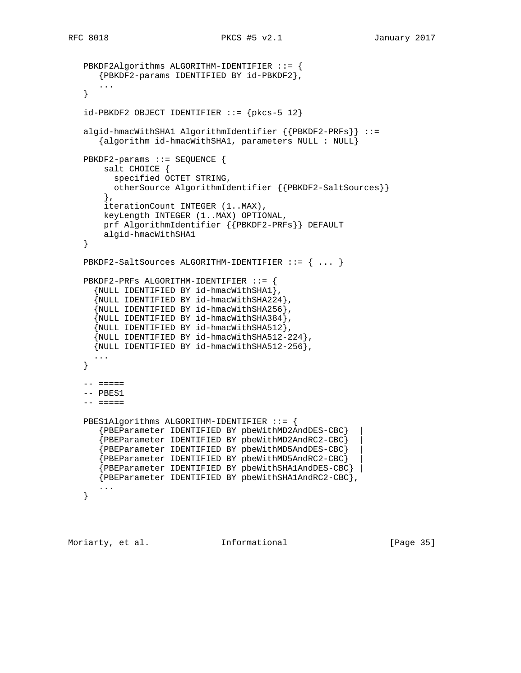```
 PBKDF2Algorithms ALGORITHM-IDENTIFIER ::= {
    {PBKDF2-params IDENTIFIED BY id-PBKDF2},
    ...
 }
id-PBKDF2 OBJECT IDENTIFIER ::= {pkcs-5 12}
 algid-hmacWithSHA1 AlgorithmIdentifier {{PBKDF2-PRFs}} ::=
    {algorithm id-hmacWithSHA1, parameters NULL : NULL}
 PBKDF2-params ::= SEQUENCE {
     salt CHOICE {
      specified OCTET STRING,
       otherSource AlgorithmIdentifier {{PBKDF2-SaltSources}}
     },
     iterationCount INTEGER (1..MAX),
     keyLength INTEGER (1..MAX) OPTIONAL,
     prf AlgorithmIdentifier {{PBKDF2-PRFs}} DEFAULT
    algid-hmacWithSHA1
 }
 PBKDF2-SaltSources ALGORITHM-IDENTIFIER ::= { ... }
 PBKDF2-PRFs ALGORITHM-IDENTIFIER ::= {
   {NULL IDENTIFIED BY id-hmacWithSHA1},
   {NULL IDENTIFIED BY id-hmacWithSHA224},
   {NULL IDENTIFIED BY id-hmacWithSHA256},
   {NULL IDENTIFIED BY id-hmacWithSHA384},
   {NULL IDENTIFIED BY id-hmacWithSHA512},
   {NULL IDENTIFIED BY id-hmacWithSHA512-224},
   {NULL IDENTIFIED BY id-hmacWithSHA512-256},
   ...
 }
 -- =====
 -- PBES1
 -- =====
 PBES1Algorithms ALGORITHM-IDENTIFIER ::= {
    {PBEParameter IDENTIFIED BY pbeWithMD2AndDES-CBC} |
    {PBEParameter IDENTIFIED BY pbeWithMD2AndRC2-CBC} |
    {PBEParameter IDENTIFIED BY pbeWithMD5AndDES-CBC} |
    {PBEParameter IDENTIFIED BY pbeWithMD5AndRC2-CBC} |
    {PBEParameter IDENTIFIED BY pbeWithSHA1AndDES-CBC} |
    {PBEParameter IDENTIFIED BY pbeWithSHA1AndRC2-CBC},
    ...
 }
```
Moriarty, et al. 1nformational [Page 35]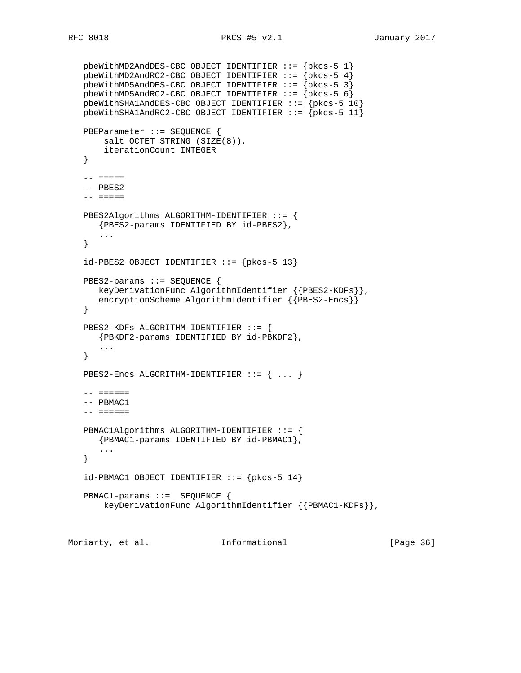```
 pbeWithMD2AndDES-CBC OBJECT IDENTIFIER ::= {pkcs-5 1}
  pbeWithMD2AndRC2-CBC OBJECT IDENTIFIER ::= {pkcs-5 4}
   pbeWithMD5AndDES-CBC OBJECT IDENTIFIER ::= {pkcs-5 3}
   pbeWithMD5AndRC2-CBC OBJECT IDENTIFIER ::= {pkcs-5 6}
 pbeWithSHA1AndDES-CBC OBJECT IDENTIFIER ::= {pkcs-5 10}
 pbeWithSHA1AndRC2-CBC OBJECT IDENTIFIER ::= {pkcs-5 11}
   PBEParameter ::= SEQUENCE {
       salt OCTET STRING (SIZE(8)),
       iterationCount INTEGER
   }
  -- = = == = -- PBES2
    -- =====
   PBES2Algorithms ALGORITHM-IDENTIFIER ::= {
     {PBES2-params IDENTIFIED BY id-PBES2},
      ...
   }
  id-PBES2 OBJECT IDENTIFIER ::= {pkcs-5 13}
   PBES2-params ::= SEQUENCE {
      keyDerivationFunc AlgorithmIdentifier {{PBES2-KDFs}},
      encryptionScheme AlgorithmIdentifier {{PBES2-Encs}}
   }
   PBES2-KDFs ALGORITHM-IDENTIFIER ::= {
     {PBKDF2-params IDENTIFIED BY id-PBKDF2},
      ...
   }
  PBES2-Encs ALGORITHM-IDENTIFIER ::= { ... }
   -- ======
   -- PBMAC1
   -- ======
   PBMAC1Algorithms ALGORITHM-IDENTIFIER ::= {
      {PBMAC1-params IDENTIFIED BY id-PBMAC1},
      ...
   }
  id-PBMAC1 OBJECT IDENTIFIER ::= \{pkcs-5 14\} PBMAC1-params ::= SEQUENCE {
       keyDerivationFunc AlgorithmIdentifier {{PBMAC1-KDFs}},
```
Moriarty, et al. **Informational** [Page 36]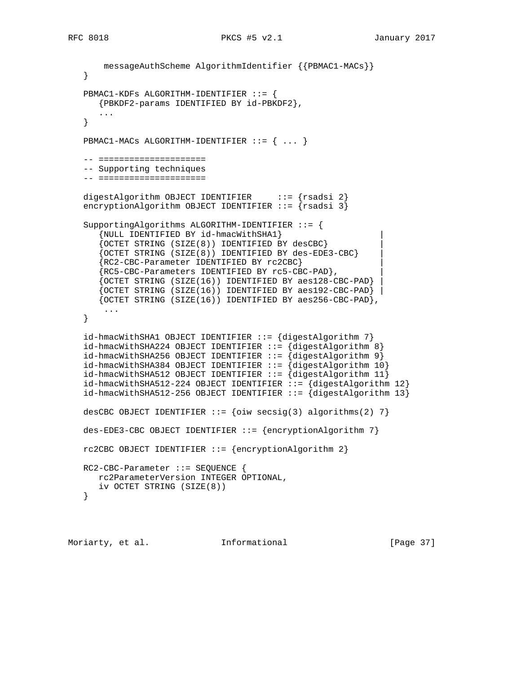```
 messageAuthScheme AlgorithmIdentifier {{PBMAC1-MACs}}
   }
   PBMAC1-KDFs ALGORITHM-IDENTIFIER ::= {
      {PBKDF2-params IDENTIFIED BY id-PBKDF2},
 ...
   }
  PBMAC1-MACs ALGORITHM-IDENTIFIER ::= { ... }
   -- =====================
   -- Supporting techniques
  -- ===================
  digestAlgorithm OBJECT IDENTIFIER \cdots = \{rsadsi 2\} encryptionAlgorithm OBJECT IDENTIFIER ::= {rsadsi 3}
   SupportingAlgorithms ALGORITHM-IDENTIFIER ::= {
       {NULL IDENTIFIED BY id-hmacWithSHA1} |
       {OCTET STRING (SIZE(8)) IDENTIFIED BY desCBC} |
       {OCTET STRING (SIZE(8)) IDENTIFIED BY des-EDE3-CBC} |
       {RC2-CBC-Parameter IDENTIFIED BY rc2CBC} |
       {RC5-CBC-Parameters IDENTIFIED BY rc5-CBC-PAD}, |
       {OCTET STRING (SIZE(16)) IDENTIFIED BY aes128-CBC-PAD} |
      {OCTET STRING (SIZE(16)) IDENTIFIED BY aes192-CBC-PAD} {OCTET STRING (SIZE(16)) IDENTIFIED BY aes256-CBC-PAD},
       ...
   }
   id-hmacWithSHA1 OBJECT IDENTIFIER ::= {digestAlgorithm 7}
   id-hmacWithSHA224 OBJECT IDENTIFIER ::= {digestAlgorithm 8}
   id-hmacWithSHA256 OBJECT IDENTIFIER ::= {digestAlgorithm 9}
   id-hmacWithSHA384 OBJECT IDENTIFIER ::= {digestAlgorithm 10}
  id-hmacWithSHA512 OBJECT IDENTIFIER ::= {digestAlgorithm 11}
   id-hmacWithSHA512-224 OBJECT IDENTIFIER ::= {digestAlgorithm 12}
  id-hmacWithSHA512-256 OBJECT IDENTIFIER ::= \{digestAlgorithm 13\}desCBC OBJECT IDENTIFIER ::= {oiw secsig(3) algorithms(2) 7}
  des-EDE3-CBC OBJECT IDENTIFIER ::= {encryptionAlgorithm 7}
   rc2CBC OBJECT IDENTIFIER ::= {encryptionAlgorithm 2}
   RC2-CBC-Parameter ::= SEQUENCE {
      rc2ParameterVersion INTEGER OPTIONAL,
      iv OCTET STRING (SIZE(8))
   }
```
Moriarty, et al. 1nformational [Page 37]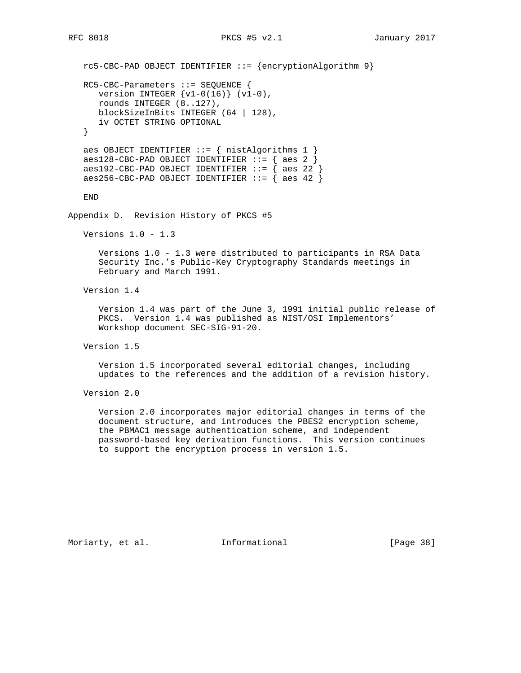```
 rc5-CBC-PAD OBJECT IDENTIFIER ::= {encryptionAlgorithm 9}
   RC5-CBC-Parameters ::= SEQUENCE {
     version INTEGER \{v1-0(16)\} (v1-0),
      rounds INTEGER (8..127),
      blockSizeInBits INTEGER (64 | 128),
      iv OCTET STRING OPTIONAL
    }
  aes OBJECT IDENTIFIER ::= { nistAlgorithms 1 }
   aes128-CBC-PAD OBJECT IDENTIFIER ::= { aes 2 }
  aes192-CBC-PAD OBJECT IDENTIFIER ::= { aes 22 }
  aes256-CBC-PAD OBJECT IDENTIFIER ::= \{ aes 42 \} END
Appendix D. Revision History of PKCS #5
   Versions 1.0 - 1.3
       Versions 1.0 - 1.3 were distributed to participants in RSA Data
       Security Inc.'s Public-Key Cryptography Standards meetings in
       February and March 1991.
   Version 1.4
       Version 1.4 was part of the June 3, 1991 initial public release of
       PKCS. Version 1.4 was published as NIST/OSI Implementors'
       Workshop document SEC-SIG-91-20.
   Version 1.5
       Version 1.5 incorporated several editorial changes, including
       updates to the references and the addition of a revision history.
   Version 2.0
       Version 2.0 incorporates major editorial changes in terms of the
       document structure, and introduces the PBES2 encryption scheme,
       the PBMAC1 message authentication scheme, and independent
       password-based key derivation functions. This version continues
       to support the encryption process in version 1.5.
```
Moriarty, et al. 1nformational 1999 [Page 38]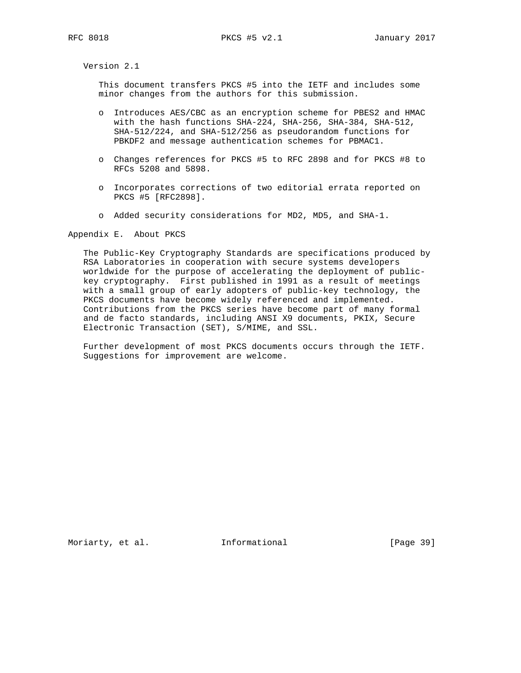Version 2.1

 This document transfers PKCS #5 into the IETF and includes some minor changes from the authors for this submission.

- o Introduces AES/CBC as an encryption scheme for PBES2 and HMAC with the hash functions SHA-224, SHA-256, SHA-384, SHA-512, SHA-512/224, and SHA-512/256 as pseudorandom functions for PBKDF2 and message authentication schemes for PBMAC1.
- o Changes references for PKCS #5 to RFC 2898 and for PKCS #8 to RFCs 5208 and 5898.
- o Incorporates corrections of two editorial errata reported on PKCS #5 [RFC2898].
- o Added security considerations for MD2, MD5, and SHA-1.

Appendix E. About PKCS

 The Public-Key Cryptography Standards are specifications produced by RSA Laboratories in cooperation with secure systems developers worldwide for the purpose of accelerating the deployment of public key cryptography. First published in 1991 as a result of meetings with a small group of early adopters of public-key technology, the PKCS documents have become widely referenced and implemented. Contributions from the PKCS series have become part of many formal and de facto standards, including ANSI X9 documents, PKIX, Secure Electronic Transaction (SET), S/MIME, and SSL.

 Further development of most PKCS documents occurs through the IETF. Suggestions for improvement are welcome.

Moriarty, et al. 1nformational 1999 [Page 39]